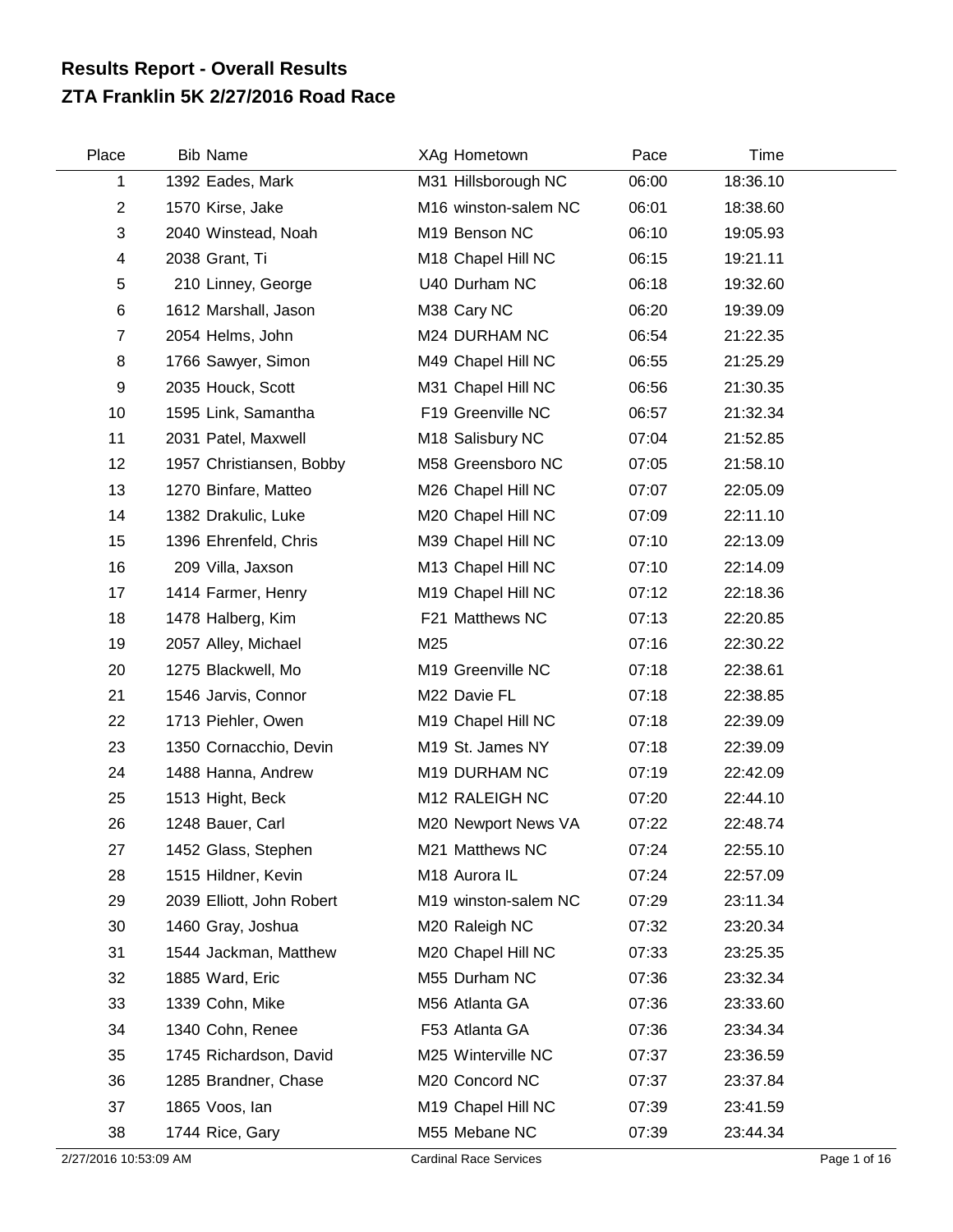## **ZTA Franklin 5K 2/27/2016 Road Race Results Report - Overall Results**

| Place          | <b>Bib Name</b>           | XAg Hometown         | Pace  | Time     |  |
|----------------|---------------------------|----------------------|-------|----------|--|
| 1              | 1392 Eades, Mark          | M31 Hillsborough NC  | 06:00 | 18:36.10 |  |
| $\overline{2}$ | 1570 Kirse, Jake          | M16 winston-salem NC | 06:01 | 18:38.60 |  |
| $\sqrt{3}$     | 2040 Winstead, Noah       | M19 Benson NC        | 06:10 | 19:05.93 |  |
| 4              | 2038 Grant, Ti            | M18 Chapel Hill NC   | 06:15 | 19:21.11 |  |
| 5              | 210 Linney, George        | U40 Durham NC        | 06:18 | 19:32.60 |  |
| 6              | 1612 Marshall, Jason      | M38 Cary NC          | 06:20 | 19:39.09 |  |
| $\overline{7}$ | 2054 Helms, John          | M24 DURHAM NC        | 06:54 | 21:22.35 |  |
| 8              | 1766 Sawyer, Simon        | M49 Chapel Hill NC   | 06:55 | 21:25.29 |  |
| 9              | 2035 Houck, Scott         | M31 Chapel Hill NC   | 06:56 | 21:30.35 |  |
| 10             | 1595 Link, Samantha       | F19 Greenville NC    | 06:57 | 21:32.34 |  |
| 11             | 2031 Patel, Maxwell       | M18 Salisbury NC     | 07:04 | 21:52.85 |  |
| 12             | 1957 Christiansen, Bobby  | M58 Greensboro NC    | 07:05 | 21:58.10 |  |
| 13             | 1270 Binfare, Matteo      | M26 Chapel Hill NC   | 07:07 | 22:05.09 |  |
| 14             | 1382 Drakulic, Luke       | M20 Chapel Hill NC   | 07:09 | 22:11.10 |  |
| 15             | 1396 Ehrenfeld, Chris     | M39 Chapel Hill NC   | 07:10 | 22:13.09 |  |
| 16             | 209 Villa, Jaxson         | M13 Chapel Hill NC   | 07:10 | 22:14.09 |  |
| 17             | 1414 Farmer, Henry        | M19 Chapel Hill NC   | 07:12 | 22:18.36 |  |
| 18             | 1478 Halberg, Kim         | F21 Matthews NC      | 07:13 | 22:20.85 |  |
| 19             | 2057 Alley, Michael       | M25                  | 07:16 | 22:30.22 |  |
| 20             | 1275 Blackwell, Mo        | M19 Greenville NC    | 07:18 | 22:38.61 |  |
| 21             | 1546 Jarvis, Connor       | M22 Davie FL         | 07:18 | 22:38.85 |  |
| 22             | 1713 Piehler, Owen        | M19 Chapel Hill NC   | 07:18 | 22:39.09 |  |
| 23             | 1350 Cornacchio, Devin    | M19 St. James NY     | 07:18 | 22:39.09 |  |
| 24             | 1488 Hanna, Andrew        | M19 DURHAM NC        | 07:19 | 22:42.09 |  |
| 25             | 1513 Hight, Beck          | M12 RALEIGH NC       | 07:20 | 22:44.10 |  |
| 26             | 1248 Bauer, Carl          | M20 Newport News VA  | 07:22 | 22:48.74 |  |
| 27             | 1452 Glass, Stephen       | M21 Matthews NC      | 07:24 | 22:55.10 |  |
| 28             | 1515 Hildner, Kevin       | M18 Aurora IL        | 07:24 | 22:57.09 |  |
| 29             | 2039 Elliott, John Robert | M19 winston-salem NC | 07:29 | 23:11.34 |  |
| 30             | 1460 Gray, Joshua         | M20 Raleigh NC       | 07:32 | 23:20.34 |  |
| 31             | 1544 Jackman, Matthew     | M20 Chapel Hill NC   | 07:33 | 23:25.35 |  |
| 32             | 1885 Ward, Eric           | M55 Durham NC        | 07:36 | 23:32.34 |  |
| 33             | 1339 Cohn, Mike           | M56 Atlanta GA       | 07:36 | 23:33.60 |  |
| 34             | 1340 Cohn, Renee          | F53 Atlanta GA       | 07:36 | 23:34.34 |  |
| 35             | 1745 Richardson, David    | M25 Winterville NC   | 07:37 | 23:36.59 |  |
| 36             | 1285 Brandner, Chase      | M20 Concord NC       | 07:37 | 23:37.84 |  |
| 37             | 1865 Voos, lan            | M19 Chapel Hill NC   | 07:39 | 23:41.59 |  |
| 38             | 1744 Rice, Gary           | M55 Mebane NC        | 07:39 | 23:44.34 |  |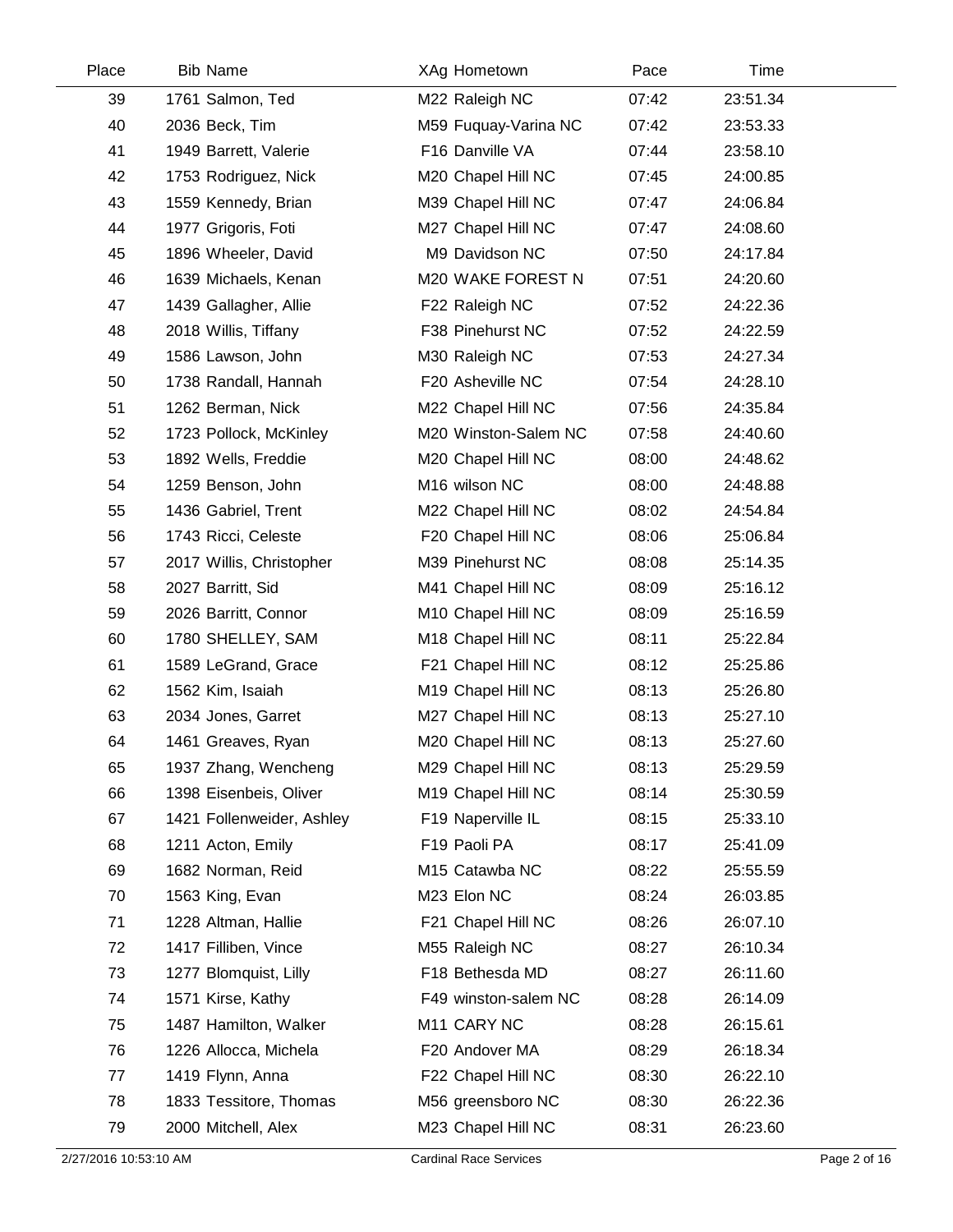| Place | <b>Bib Name</b>           | XAg Hometown            | Pace  | Time     |  |
|-------|---------------------------|-------------------------|-------|----------|--|
| 39    | 1761 Salmon, Ted          | M22 Raleigh NC          | 07:42 | 23:51.34 |  |
| 40    | 2036 Beck, Tim            | M59 Fuquay-Varina NC    | 07:42 | 23:53.33 |  |
| 41    | 1949 Barrett, Valerie     | F16 Danville VA         | 07:44 | 23:58.10 |  |
| 42    | 1753 Rodriguez, Nick      | M20 Chapel Hill NC      | 07:45 | 24:00.85 |  |
| 43    | 1559 Kennedy, Brian       | M39 Chapel Hill NC      | 07:47 | 24:06.84 |  |
| 44    | 1977 Grigoris, Foti       | M27 Chapel Hill NC      | 07:47 | 24:08.60 |  |
| 45    | 1896 Wheeler, David       | M9 Davidson NC          | 07:50 | 24:17.84 |  |
| 46    | 1639 Michaels, Kenan      | M20 WAKE FOREST N       | 07:51 | 24:20.60 |  |
| 47    | 1439 Gallagher, Allie     | F22 Raleigh NC          | 07:52 | 24:22.36 |  |
| 48    | 2018 Willis, Tiffany      | F38 Pinehurst NC        | 07:52 | 24:22.59 |  |
| 49    | 1586 Lawson, John         | M30 Raleigh NC          | 07:53 | 24:27.34 |  |
| 50    | 1738 Randall, Hannah      | F20 Asheville NC        | 07:54 | 24:28.10 |  |
| 51    | 1262 Berman, Nick         | M22 Chapel Hill NC      | 07:56 | 24:35.84 |  |
| 52    | 1723 Pollock, McKinley    | M20 Winston-Salem NC    | 07:58 | 24:40.60 |  |
| 53    | 1892 Wells, Freddie       | M20 Chapel Hill NC      | 08:00 | 24:48.62 |  |
| 54    | 1259 Benson, John         | M16 wilson NC           | 08:00 | 24:48.88 |  |
| 55    | 1436 Gabriel, Trent       | M22 Chapel Hill NC      | 08:02 | 24:54.84 |  |
| 56    | 1743 Ricci, Celeste       | F20 Chapel Hill NC      | 08:06 | 25:06.84 |  |
| 57    | 2017 Willis, Christopher  | M39 Pinehurst NC        | 08:08 | 25:14.35 |  |
| 58    | 2027 Barritt, Sid         | M41 Chapel Hill NC      | 08:09 | 25:16.12 |  |
| 59    | 2026 Barritt, Connor      | M10 Chapel Hill NC      | 08:09 | 25:16.59 |  |
| 60    | 1780 SHELLEY, SAM         | M18 Chapel Hill NC      | 08:11 | 25:22.84 |  |
| 61    | 1589 LeGrand, Grace       | F21 Chapel Hill NC      | 08:12 | 25:25.86 |  |
| 62    | 1562 Kim, Isaiah          | M19 Chapel Hill NC      | 08:13 | 25:26.80 |  |
| 63    | 2034 Jones, Garret        | M27 Chapel Hill NC      | 08:13 | 25:27.10 |  |
| 64    | 1461 Greaves, Ryan        | M20 Chapel Hill NC      | 08:13 | 25:27.60 |  |
| 65    | 1937 Zhang, Wencheng      | M29 Chapel Hill NC      | 08:13 | 25:29.59 |  |
| 66    | 1398 Eisenbeis, Oliver    | M19 Chapel Hill NC      | 08:14 | 25:30.59 |  |
| 67    | 1421 Follenweider, Ashley | F19 Naperville IL       | 08:15 | 25:33.10 |  |
| 68    | 1211 Acton, Emily         | F19 Paoli PA            | 08:17 | 25:41.09 |  |
| 69    | 1682 Norman, Reid         | M15 Catawba NC          | 08:22 | 25:55.59 |  |
| 70    | 1563 King, Evan           | M23 Elon NC             | 08:24 | 26:03.85 |  |
| 71    | 1228 Altman, Hallie       | F21 Chapel Hill NC      | 08:26 | 26:07.10 |  |
| 72    | 1417 Filliben, Vince      | M55 Raleigh NC          | 08:27 | 26:10.34 |  |
| 73    | 1277 Blomquist, Lilly     | F18 Bethesda MD         | 08:27 | 26:11.60 |  |
| 74    | 1571 Kirse, Kathy         | F49 winston-salem NC    | 08:28 | 26:14.09 |  |
| 75    | 1487 Hamilton, Walker     | M <sub>11</sub> CARY NC | 08:28 | 26:15.61 |  |
| 76    | 1226 Allocca, Michela     | F20 Andover MA          | 08:29 | 26:18.34 |  |
| 77    | 1419 Flynn, Anna          | F22 Chapel Hill NC      | 08:30 | 26:22.10 |  |
| 78    | 1833 Tessitore, Thomas    | M56 greensboro NC       | 08:30 | 26:22.36 |  |
| 79    | 2000 Mitchell, Alex       | M23 Chapel Hill NC      | 08:31 | 26:23.60 |  |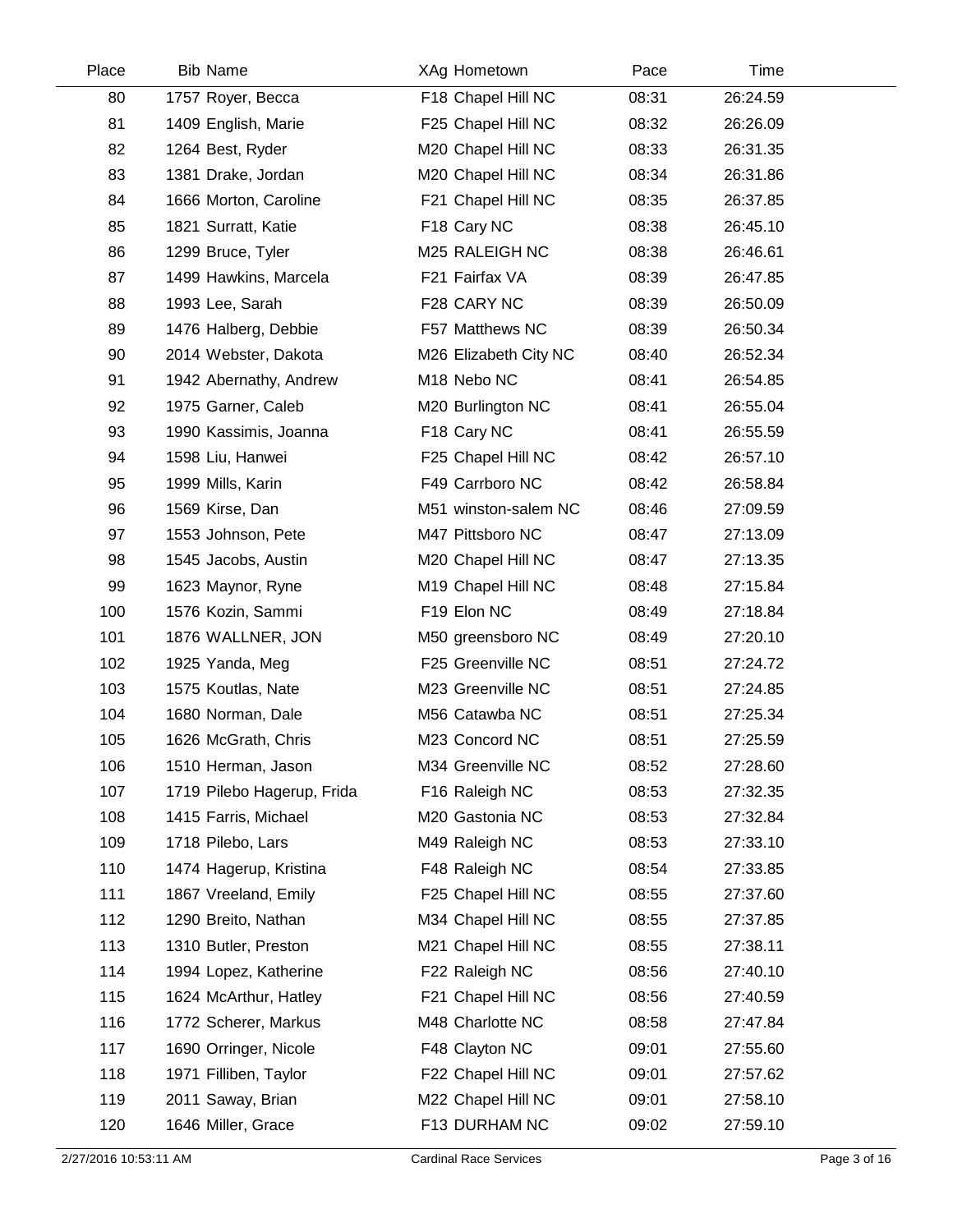| Place | <b>Bib Name</b>            | XAg Hometown          | Pace  | Time     |  |
|-------|----------------------------|-----------------------|-------|----------|--|
| 80    | 1757 Royer, Becca          | F18 Chapel Hill NC    | 08:31 | 26:24.59 |  |
| 81    | 1409 English, Marie        | F25 Chapel Hill NC    | 08:32 | 26:26.09 |  |
| 82    | 1264 Best, Ryder           | M20 Chapel Hill NC    | 08:33 | 26:31.35 |  |
| 83    | 1381 Drake, Jordan         | M20 Chapel Hill NC    | 08:34 | 26:31.86 |  |
| 84    | 1666 Morton, Caroline      | F21 Chapel Hill NC    | 08:35 | 26:37.85 |  |
| 85    | 1821 Surratt, Katie        | F18 Cary NC           | 08:38 | 26:45.10 |  |
| 86    | 1299 Bruce, Tyler          | M25 RALEIGH NC        | 08:38 | 26:46.61 |  |
| 87    | 1499 Hawkins, Marcela      | F21 Fairfax VA        | 08:39 | 26:47.85 |  |
| 88    | 1993 Lee, Sarah            | F28 CARY NC           | 08:39 | 26:50.09 |  |
| 89    | 1476 Halberg, Debbie       | F57 Matthews NC       | 08:39 | 26:50.34 |  |
| 90    | 2014 Webster, Dakota       | M26 Elizabeth City NC | 08:40 | 26:52.34 |  |
| 91    | 1942 Abernathy, Andrew     | M18 Nebo NC           | 08:41 | 26:54.85 |  |
| 92    | 1975 Garner, Caleb         | M20 Burlington NC     | 08:41 | 26:55.04 |  |
| 93    | 1990 Kassimis, Joanna      | F18 Cary NC           | 08:41 | 26:55.59 |  |
| 94    | 1598 Liu, Hanwei           | F25 Chapel Hill NC    | 08:42 | 26:57.10 |  |
| 95    | 1999 Mills, Karin          | F49 Carrboro NC       | 08:42 | 26:58.84 |  |
| 96    | 1569 Kirse, Dan            | M51 winston-salem NC  | 08:46 | 27:09.59 |  |
| 97    | 1553 Johnson, Pete         | M47 Pittsboro NC      | 08:47 | 27:13.09 |  |
| 98    | 1545 Jacobs, Austin        | M20 Chapel Hill NC    | 08:47 | 27:13.35 |  |
| 99    | 1623 Maynor, Ryne          | M19 Chapel Hill NC    | 08:48 | 27:15.84 |  |
| 100   | 1576 Kozin, Sammi          | F19 Elon NC           | 08:49 | 27:18.84 |  |
| 101   | 1876 WALLNER, JON          | M50 greensboro NC     | 08:49 | 27:20.10 |  |
| 102   | 1925 Yanda, Meg            | F25 Greenville NC     | 08:51 | 27:24.72 |  |
| 103   | 1575 Koutlas, Nate         | M23 Greenville NC     | 08:51 | 27:24.85 |  |
| 104   | 1680 Norman, Dale          | M56 Catawba NC        | 08:51 | 27:25.34 |  |
| 105   | 1626 McGrath, Chris        | M23 Concord NC        | 08:51 | 27:25.59 |  |
| 106   | 1510 Herman, Jason         | M34 Greenville NC     | 08:52 | 27:28.60 |  |
| 107   | 1719 Pilebo Hagerup, Frida | F16 Raleigh NC        | 08:53 | 27:32.35 |  |
| 108   | 1415 Farris, Michael       | M20 Gastonia NC       | 08:53 | 27:32.84 |  |
| 109   | 1718 Pilebo, Lars          | M49 Raleigh NC        | 08:53 | 27:33.10 |  |
| 110   | 1474 Hagerup, Kristina     | F48 Raleigh NC        | 08:54 | 27:33.85 |  |
| 111   | 1867 Vreeland, Emily       | F25 Chapel Hill NC    | 08:55 | 27:37.60 |  |
| 112   | 1290 Breito, Nathan        | M34 Chapel Hill NC    | 08:55 | 27:37.85 |  |
| 113   | 1310 Butler, Preston       | M21 Chapel Hill NC    | 08:55 | 27:38.11 |  |
| 114   | 1994 Lopez, Katherine      | F22 Raleigh NC        | 08:56 | 27:40.10 |  |
| 115   | 1624 McArthur, Hatley      | F21 Chapel Hill NC    | 08:56 | 27:40.59 |  |
| 116   | 1772 Scherer, Markus       | M48 Charlotte NC      | 08:58 | 27:47.84 |  |
| 117   | 1690 Orringer, Nicole      | F48 Clayton NC        | 09:01 | 27:55.60 |  |
| 118   | 1971 Filliben, Taylor      | F22 Chapel Hill NC    | 09:01 | 27:57.62 |  |
| 119   | 2011 Saway, Brian          | M22 Chapel Hill NC    | 09:01 | 27:58.10 |  |
| 120   | 1646 Miller, Grace         | F13 DURHAM NC         | 09:02 | 27:59.10 |  |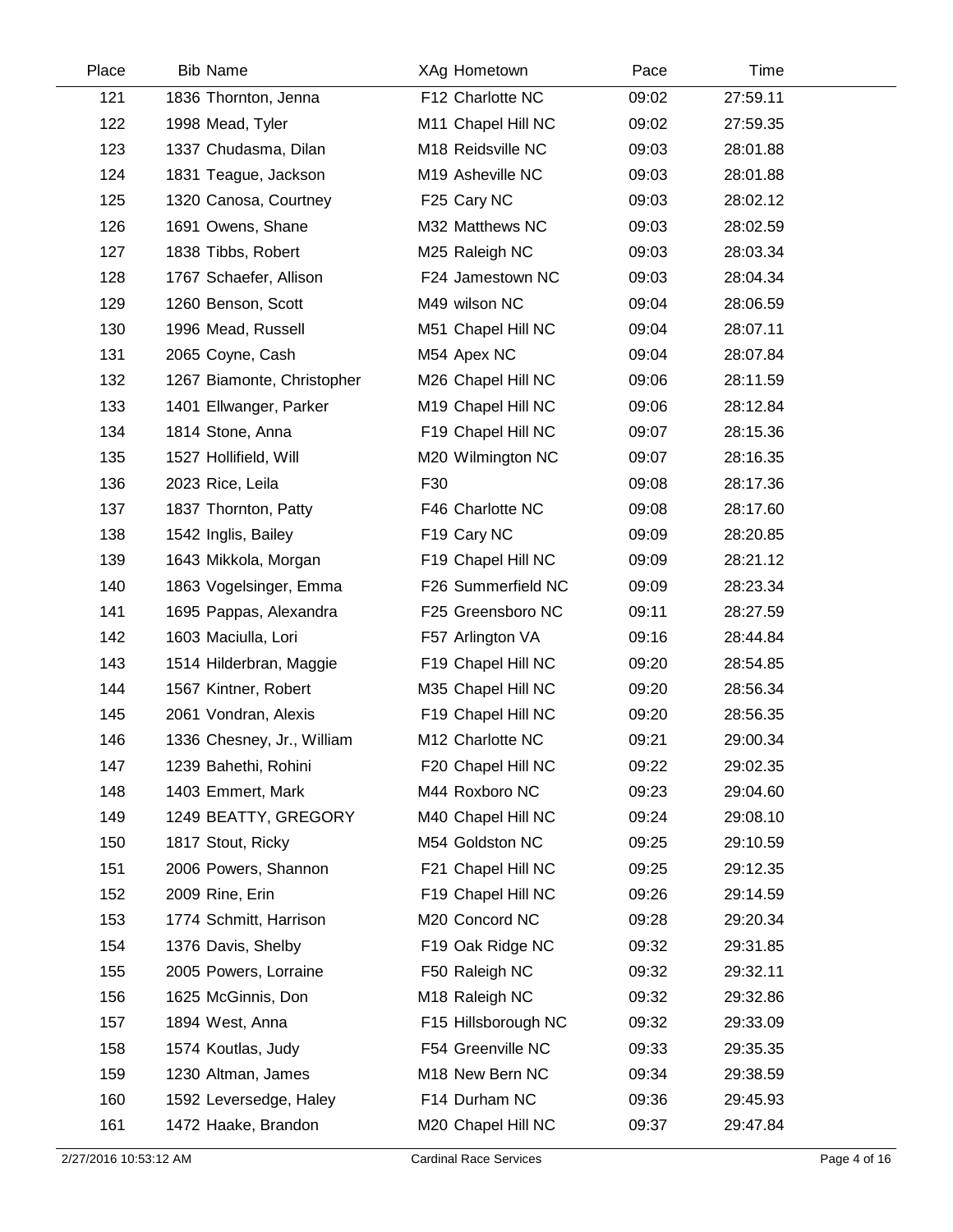| Place | <b>Bib Name</b>            | XAg Hometown        | Pace  | Time     |  |
|-------|----------------------------|---------------------|-------|----------|--|
| 121   | 1836 Thornton, Jenna       | F12 Charlotte NC    | 09:02 | 27:59.11 |  |
| 122   | 1998 Mead, Tyler           | M11 Chapel Hill NC  | 09:02 | 27:59.35 |  |
| 123   | 1337 Chudasma, Dilan       | M18 Reidsville NC   | 09:03 | 28:01.88 |  |
| 124   | 1831 Teague, Jackson       | M19 Asheville NC    | 09:03 | 28:01.88 |  |
| 125   | 1320 Canosa, Courtney      | F25 Cary NC         | 09:03 | 28:02.12 |  |
| 126   | 1691 Owens, Shane          | M32 Matthews NC     | 09:03 | 28:02.59 |  |
| 127   | 1838 Tibbs, Robert         | M25 Raleigh NC      | 09:03 | 28:03.34 |  |
| 128   | 1767 Schaefer, Allison     | F24 Jamestown NC    | 09:03 | 28:04.34 |  |
| 129   | 1260 Benson, Scott         | M49 wilson NC       | 09:04 | 28:06.59 |  |
| 130   | 1996 Mead, Russell         | M51 Chapel Hill NC  | 09:04 | 28:07.11 |  |
| 131   | 2065 Coyne, Cash           | M54 Apex NC         | 09:04 | 28:07.84 |  |
| 132   | 1267 Biamonte, Christopher | M26 Chapel Hill NC  | 09:06 | 28:11.59 |  |
| 133   | 1401 Ellwanger, Parker     | M19 Chapel Hill NC  | 09:06 | 28:12.84 |  |
| 134   | 1814 Stone, Anna           | F19 Chapel Hill NC  | 09:07 | 28:15.36 |  |
| 135   | 1527 Hollifield, Will      | M20 Wilmington NC   | 09:07 | 28:16.35 |  |
| 136   | 2023 Rice, Leila           | F30                 | 09:08 | 28:17.36 |  |
| 137   | 1837 Thornton, Patty       | F46 Charlotte NC    | 09:08 | 28:17.60 |  |
| 138   | 1542 Inglis, Bailey        | F19 Cary NC         | 09:09 | 28:20.85 |  |
| 139   | 1643 Mikkola, Morgan       | F19 Chapel Hill NC  | 09:09 | 28:21.12 |  |
| 140   | 1863 Vogelsinger, Emma     | F26 Summerfield NC  | 09:09 | 28:23.34 |  |
| 141   | 1695 Pappas, Alexandra     | F25 Greensboro NC   | 09:11 | 28:27.59 |  |
| 142   | 1603 Maciulla, Lori        | F57 Arlington VA    | 09:16 | 28:44.84 |  |
| 143   | 1514 Hilderbran, Maggie    | F19 Chapel Hill NC  | 09:20 | 28:54.85 |  |
| 144   | 1567 Kintner, Robert       | M35 Chapel Hill NC  | 09:20 | 28:56.34 |  |
| 145   | 2061 Vondran, Alexis       | F19 Chapel Hill NC  | 09:20 | 28:56.35 |  |
| 146   | 1336 Chesney, Jr., William | M12 Charlotte NC    | 09:21 | 29:00.34 |  |
| 147   | 1239 Bahethi, Rohini       | F20 Chapel Hill NC  | 09:22 | 29:02.35 |  |
| 148   | 1403 Emmert, Mark          | M44 Roxboro NC      | 09:23 | 29:04.60 |  |
| 149   | 1249 BEATTY, GREGORY       | M40 Chapel Hill NC  | 09:24 | 29:08.10 |  |
| 150   | 1817 Stout, Ricky          | M54 Goldston NC     | 09:25 | 29:10.59 |  |
| 151   | 2006 Powers, Shannon       | F21 Chapel Hill NC  | 09:25 | 29:12.35 |  |
| 152   | 2009 Rine, Erin            | F19 Chapel Hill NC  | 09:26 | 29:14.59 |  |
| 153   | 1774 Schmitt, Harrison     | M20 Concord NC      | 09:28 | 29:20.34 |  |
| 154   | 1376 Davis, Shelby         | F19 Oak Ridge NC    | 09:32 | 29:31.85 |  |
| 155   | 2005 Powers, Lorraine      | F50 Raleigh NC      | 09:32 | 29:32.11 |  |
| 156   | 1625 McGinnis, Don         | M18 Raleigh NC      | 09:32 | 29:32.86 |  |
| 157   | 1894 West, Anna            | F15 Hillsborough NC | 09:32 | 29:33.09 |  |
| 158   | 1574 Koutlas, Judy         | F54 Greenville NC   | 09:33 | 29:35.35 |  |
| 159   | 1230 Altman, James         | M18 New Bern NC     | 09:34 | 29:38.59 |  |
| 160   | 1592 Leversedge, Haley     | F14 Durham NC       | 09:36 | 29:45.93 |  |
| 161   | 1472 Haake, Brandon        | M20 Chapel Hill NC  | 09:37 | 29:47.84 |  |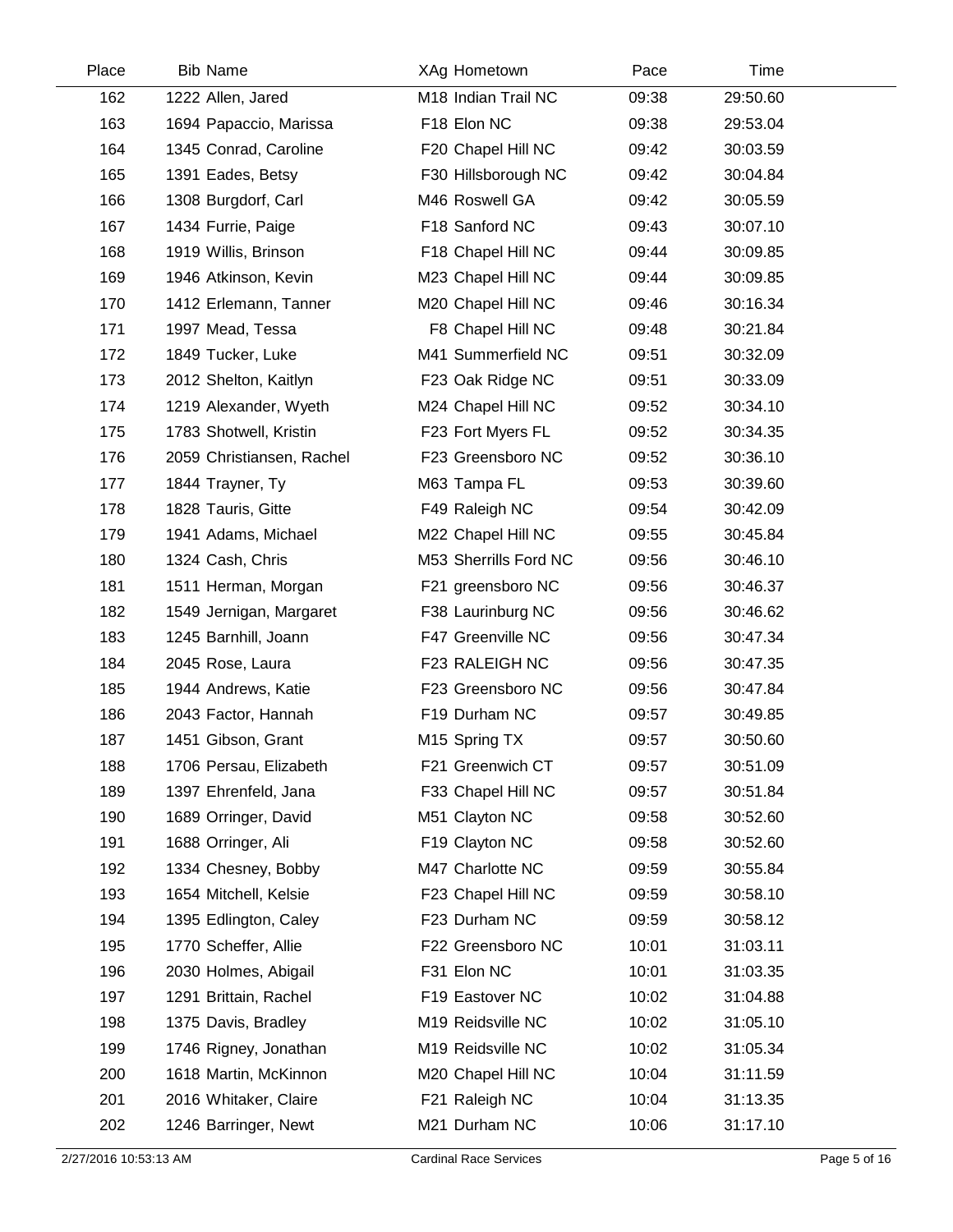| Place | <b>Bib Name</b>           | XAg Hometown          | Pace  | Time     |  |
|-------|---------------------------|-----------------------|-------|----------|--|
| 162   | 1222 Allen, Jared         | M18 Indian Trail NC   | 09:38 | 29:50.60 |  |
| 163   | 1694 Papaccio, Marissa    | F18 Elon NC           | 09:38 | 29:53.04 |  |
| 164   | 1345 Conrad, Caroline     | F20 Chapel Hill NC    | 09:42 | 30:03.59 |  |
| 165   | 1391 Eades, Betsy         | F30 Hillsborough NC   | 09:42 | 30:04.84 |  |
| 166   | 1308 Burgdorf, Carl       | M46 Roswell GA        | 09:42 | 30:05.59 |  |
| 167   | 1434 Furrie, Paige        | F18 Sanford NC        | 09:43 | 30:07.10 |  |
| 168   | 1919 Willis, Brinson      | F18 Chapel Hill NC    | 09:44 | 30:09.85 |  |
| 169   | 1946 Atkinson, Kevin      | M23 Chapel Hill NC    | 09:44 | 30:09.85 |  |
| 170   | 1412 Erlemann, Tanner     | M20 Chapel Hill NC    | 09:46 | 30:16.34 |  |
| 171   | 1997 Mead, Tessa          | F8 Chapel Hill NC     | 09:48 | 30:21.84 |  |
| 172   | 1849 Tucker, Luke         | M41 Summerfield NC    | 09:51 | 30:32.09 |  |
| 173   | 2012 Shelton, Kaitlyn     | F23 Oak Ridge NC      | 09:51 | 30:33.09 |  |
| 174   | 1219 Alexander, Wyeth     | M24 Chapel Hill NC    | 09:52 | 30:34.10 |  |
| 175   | 1783 Shotwell, Kristin    | F23 Fort Myers FL     | 09:52 | 30:34.35 |  |
| 176   | 2059 Christiansen, Rachel | F23 Greensboro NC     | 09:52 | 30:36.10 |  |
| 177   | 1844 Trayner, Ty          | M63 Tampa FL          | 09:53 | 30:39.60 |  |
| 178   | 1828 Tauris, Gitte        | F49 Raleigh NC        | 09:54 | 30:42.09 |  |
| 179   | 1941 Adams, Michael       | M22 Chapel Hill NC    | 09:55 | 30:45.84 |  |
| 180   | 1324 Cash, Chris          | M53 Sherrills Ford NC | 09:56 | 30:46.10 |  |
| 181   | 1511 Herman, Morgan       | F21 greensboro NC     | 09:56 | 30:46.37 |  |
| 182   | 1549 Jernigan, Margaret   | F38 Laurinburg NC     | 09:56 | 30:46.62 |  |
| 183   | 1245 Barnhill, Joann      | F47 Greenville NC     | 09:56 | 30:47.34 |  |
| 184   | 2045 Rose, Laura          | F23 RALEIGH NC        | 09:56 | 30:47.35 |  |
| 185   | 1944 Andrews, Katie       | F23 Greensboro NC     | 09:56 | 30:47.84 |  |
| 186   | 2043 Factor, Hannah       | F19 Durham NC         | 09:57 | 30:49.85 |  |
| 187   | 1451 Gibson, Grant        | M15 Spring TX         | 09:57 | 30:50.60 |  |
| 188   | 1706 Persau, Elizabeth    | F21 Greenwich CT      | 09:57 | 30:51.09 |  |
| 189   | 1397 Ehrenfeld, Jana      | F33 Chapel Hill NC    | 09:57 | 30:51.84 |  |
| 190   | 1689 Orringer, David      | M51 Clayton NC        | 09:58 | 30:52.60 |  |
| 191   | 1688 Orringer, Ali        | F19 Clayton NC        | 09:58 | 30:52.60 |  |
| 192   | 1334 Chesney, Bobby       | M47 Charlotte NC      | 09:59 | 30:55.84 |  |
| 193   | 1654 Mitchell, Kelsie     | F23 Chapel Hill NC    | 09:59 | 30:58.10 |  |
| 194   | 1395 Edlington, Caley     | F23 Durham NC         | 09:59 | 30:58.12 |  |
| 195   | 1770 Scheffer, Allie      | F22 Greensboro NC     | 10:01 | 31:03.11 |  |
| 196   | 2030 Holmes, Abigail      | F31 Elon NC           | 10:01 | 31:03.35 |  |
| 197   | 1291 Brittain, Rachel     | F19 Eastover NC       | 10:02 | 31:04.88 |  |
| 198   | 1375 Davis, Bradley       | M19 Reidsville NC     | 10:02 | 31:05.10 |  |
| 199   | 1746 Rigney, Jonathan     | M19 Reidsville NC     | 10:02 | 31:05.34 |  |
| 200   | 1618 Martin, McKinnon     | M20 Chapel Hill NC    | 10:04 | 31:11.59 |  |
| 201   | 2016 Whitaker, Claire     | F21 Raleigh NC        | 10:04 | 31:13.35 |  |
| 202   | 1246 Barringer, Newt      | M21 Durham NC         | 10:06 | 31:17.10 |  |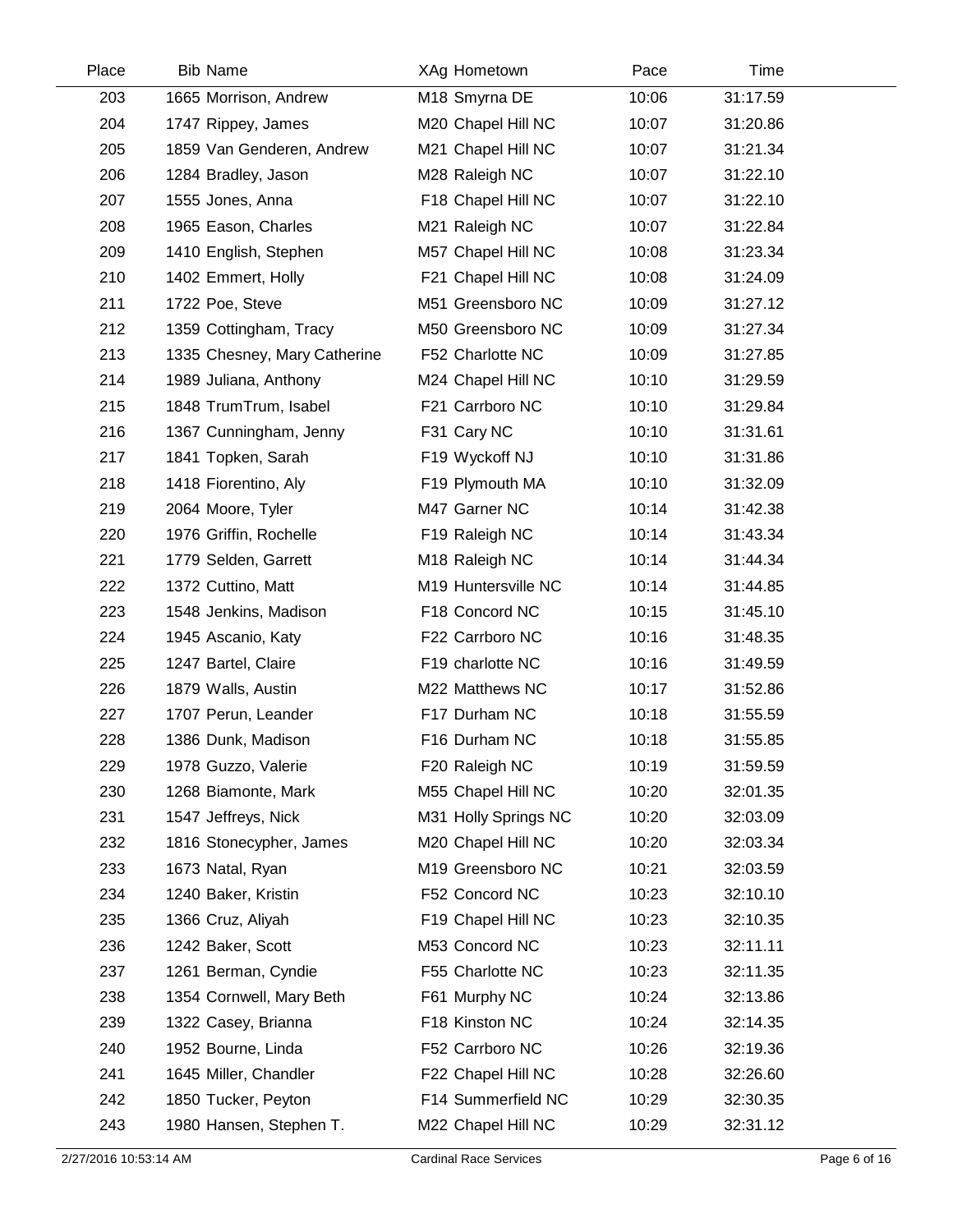| Place | <b>Bib Name</b>              | XAg Hometown         | Pace  | Time     |  |
|-------|------------------------------|----------------------|-------|----------|--|
| 203   | 1665 Morrison, Andrew        | M18 Smyrna DE        | 10:06 | 31:17.59 |  |
| 204   | 1747 Rippey, James           | M20 Chapel Hill NC   | 10:07 | 31:20.86 |  |
| 205   | 1859 Van Genderen, Andrew    | M21 Chapel Hill NC   | 10:07 | 31:21.34 |  |
| 206   | 1284 Bradley, Jason          | M28 Raleigh NC       | 10:07 | 31:22.10 |  |
| 207   | 1555 Jones, Anna             | F18 Chapel Hill NC   | 10:07 | 31:22.10 |  |
| 208   | 1965 Eason, Charles          | M21 Raleigh NC       | 10:07 | 31:22.84 |  |
| 209   | 1410 English, Stephen        | M57 Chapel Hill NC   | 10:08 | 31:23.34 |  |
| 210   | 1402 Emmert, Holly           | F21 Chapel Hill NC   | 10:08 | 31:24.09 |  |
| 211   | 1722 Poe, Steve              | M51 Greensboro NC    | 10:09 | 31:27.12 |  |
| 212   | 1359 Cottingham, Tracy       | M50 Greensboro NC    | 10:09 | 31:27.34 |  |
| 213   | 1335 Chesney, Mary Catherine | F52 Charlotte NC     | 10:09 | 31:27.85 |  |
| 214   | 1989 Juliana, Anthony        | M24 Chapel Hill NC   | 10:10 | 31:29.59 |  |
| 215   | 1848 TrumTrum, Isabel        | F21 Carrboro NC      | 10:10 | 31:29.84 |  |
| 216   | 1367 Cunningham, Jenny       | F31 Cary NC          | 10:10 | 31:31.61 |  |
| 217   | 1841 Topken, Sarah           | F19 Wyckoff NJ       | 10:10 | 31:31.86 |  |
| 218   | 1418 Fiorentino, Aly         | F19 Plymouth MA      | 10:10 | 31:32.09 |  |
| 219   | 2064 Moore, Tyler            | M47 Garner NC        | 10:14 | 31:42.38 |  |
| 220   | 1976 Griffin, Rochelle       | F19 Raleigh NC       | 10:14 | 31:43.34 |  |
| 221   | 1779 Selden, Garrett         | M18 Raleigh NC       | 10:14 | 31:44.34 |  |
| 222   | 1372 Cuttino, Matt           | M19 Huntersville NC  | 10:14 | 31:44.85 |  |
| 223   | 1548 Jenkins, Madison        | F18 Concord NC       | 10:15 | 31:45.10 |  |
| 224   | 1945 Ascanio, Katy           | F22 Carrboro NC      | 10:16 | 31:48.35 |  |
| 225   | 1247 Bartel, Claire          | F19 charlotte NC     | 10:16 | 31:49.59 |  |
| 226   | 1879 Walls, Austin           | M22 Matthews NC      | 10:17 | 31:52.86 |  |
| 227   | 1707 Perun, Leander          | F17 Durham NC        | 10:18 | 31:55.59 |  |
| 228   | 1386 Dunk, Madison           | F16 Durham NC        | 10:18 | 31:55.85 |  |
| 229   | 1978 Guzzo, Valerie          | F20 Raleigh NC       | 10:19 | 31:59.59 |  |
| 230   | 1268 Biamonte, Mark          | M55 Chapel Hill NC   | 10:20 | 32:01.35 |  |
| 231   | 1547 Jeffreys, Nick          | M31 Holly Springs NC | 10:20 | 32:03.09 |  |
| 232   | 1816 Stonecypher, James      | M20 Chapel Hill NC   | 10:20 | 32:03.34 |  |
| 233   | 1673 Natal, Ryan             | M19 Greensboro NC    | 10:21 | 32:03.59 |  |
| 234   | 1240 Baker, Kristin          | F52 Concord NC       | 10:23 | 32:10.10 |  |
| 235   | 1366 Cruz, Aliyah            | F19 Chapel Hill NC   | 10:23 | 32:10.35 |  |
| 236   | 1242 Baker, Scott            | M53 Concord NC       | 10:23 | 32:11.11 |  |
| 237   | 1261 Berman, Cyndie          | F55 Charlotte NC     | 10:23 | 32:11.35 |  |
| 238   | 1354 Cornwell, Mary Beth     | F61 Murphy NC        | 10:24 | 32:13.86 |  |
| 239   | 1322 Casey, Brianna          | F18 Kinston NC       | 10:24 | 32:14.35 |  |
| 240   | 1952 Bourne, Linda           | F52 Carrboro NC      | 10:26 | 32:19.36 |  |
| 241   | 1645 Miller, Chandler        | F22 Chapel Hill NC   | 10:28 | 32:26.60 |  |
| 242   | 1850 Tucker, Peyton          | F14 Summerfield NC   | 10:29 | 32:30.35 |  |
| 243   | 1980 Hansen, Stephen T.      | M22 Chapel Hill NC   | 10:29 | 32:31.12 |  |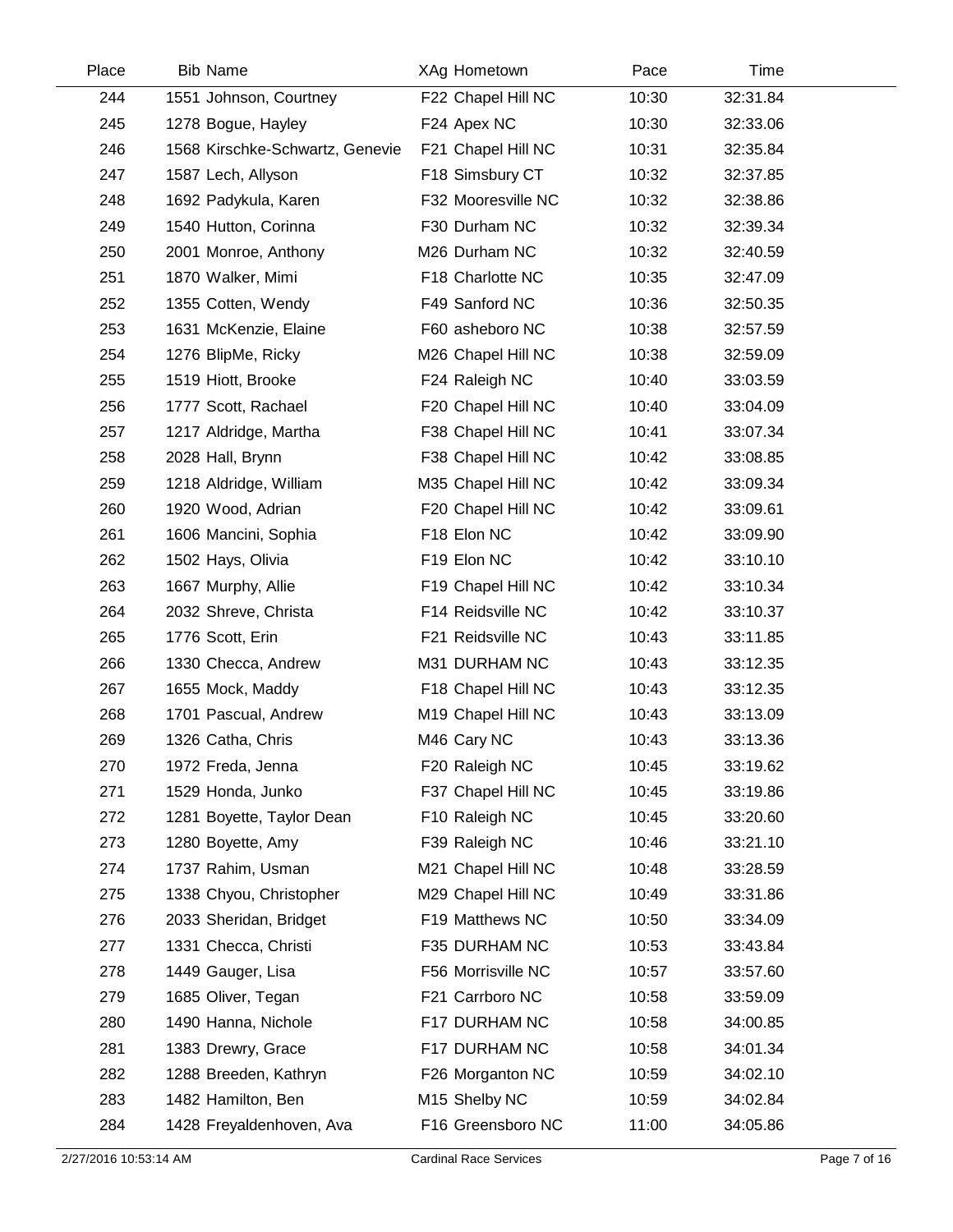| Place | <b>Bib Name</b>                 | XAg Hometown       | Pace  | Time     |  |
|-------|---------------------------------|--------------------|-------|----------|--|
| 244   | 1551 Johnson, Courtney          | F22 Chapel Hill NC | 10:30 | 32:31.84 |  |
| 245   | 1278 Bogue, Hayley              | F24 Apex NC        | 10:30 | 32:33.06 |  |
| 246   | 1568 Kirschke-Schwartz, Genevie | F21 Chapel Hill NC | 10:31 | 32:35.84 |  |
| 247   | 1587 Lech, Allyson              | F18 Simsbury CT    | 10:32 | 32:37.85 |  |
| 248   | 1692 Padykula, Karen            | F32 Mooresville NC | 10:32 | 32:38.86 |  |
| 249   | 1540 Hutton, Corinna            | F30 Durham NC      | 10:32 | 32:39.34 |  |
| 250   | 2001 Monroe, Anthony            | M26 Durham NC      | 10:32 | 32:40.59 |  |
| 251   | 1870 Walker, Mimi               | F18 Charlotte NC   | 10:35 | 32:47.09 |  |
| 252   | 1355 Cotten, Wendy              | F49 Sanford NC     | 10:36 | 32:50.35 |  |
| 253   | 1631 McKenzie, Elaine           | F60 asheboro NC    | 10:38 | 32:57.59 |  |
| 254   | 1276 BlipMe, Ricky              | M26 Chapel Hill NC | 10:38 | 32:59.09 |  |
| 255   | 1519 Hiott, Brooke              | F24 Raleigh NC     | 10:40 | 33:03.59 |  |
| 256   | 1777 Scott, Rachael             | F20 Chapel Hill NC | 10:40 | 33:04.09 |  |
| 257   | 1217 Aldridge, Martha           | F38 Chapel Hill NC | 10:41 | 33:07.34 |  |
| 258   | 2028 Hall, Brynn                | F38 Chapel Hill NC | 10:42 | 33:08.85 |  |
| 259   | 1218 Aldridge, William          | M35 Chapel Hill NC | 10:42 | 33:09.34 |  |
| 260   | 1920 Wood, Adrian               | F20 Chapel Hill NC | 10:42 | 33:09.61 |  |
| 261   | 1606 Mancini, Sophia            | F18 Elon NC        | 10:42 | 33:09.90 |  |
| 262   | 1502 Hays, Olivia               | F19 Elon NC        | 10:42 | 33:10.10 |  |
| 263   | 1667 Murphy, Allie              | F19 Chapel Hill NC | 10:42 | 33:10.34 |  |
| 264   | 2032 Shreve, Christa            | F14 Reidsville NC  | 10:42 | 33:10.37 |  |
| 265   | 1776 Scott, Erin                | F21 Reidsville NC  | 10:43 | 33:11.85 |  |
| 266   | 1330 Checca, Andrew             | M31 DURHAM NC      | 10:43 | 33:12.35 |  |
| 267   | 1655 Mock, Maddy                | F18 Chapel Hill NC | 10:43 | 33:12.35 |  |
| 268   | 1701 Pascual, Andrew            | M19 Chapel Hill NC | 10:43 | 33:13.09 |  |
| 269   | 1326 Catha, Chris               | M46 Cary NC        | 10:43 | 33:13.36 |  |
| 270   | 1972 Freda, Jenna               | F20 Raleigh NC     | 10:45 | 33:19.62 |  |
| 271   | 1529 Honda, Junko               | F37 Chapel Hill NC | 10:45 | 33:19.86 |  |
| 272   | 1281 Boyette, Taylor Dean       | F10 Raleigh NC     | 10:45 | 33:20.60 |  |
| 273   | 1280 Boyette, Amy               | F39 Raleigh NC     | 10:46 | 33:21.10 |  |
| 274   | 1737 Rahim, Usman               | M21 Chapel Hill NC | 10:48 | 33:28.59 |  |
| 275   | 1338 Chyou, Christopher         | M29 Chapel Hill NC | 10:49 | 33:31.86 |  |
| 276   | 2033 Sheridan, Bridget          | F19 Matthews NC    | 10:50 | 33:34.09 |  |
| 277   | 1331 Checca, Christi            | F35 DURHAM NC      | 10:53 | 33:43.84 |  |
| 278   | 1449 Gauger, Lisa               | F56 Morrisville NC | 10:57 | 33:57.60 |  |
| 279   | 1685 Oliver, Tegan              | F21 Carrboro NC    | 10:58 | 33:59.09 |  |
| 280   | 1490 Hanna, Nichole             | F17 DURHAM NC      | 10:58 | 34:00.85 |  |
| 281   | 1383 Drewry, Grace              | F17 DURHAM NC      | 10:58 | 34:01.34 |  |
| 282   | 1288 Breeden, Kathryn           | F26 Morganton NC   | 10:59 | 34:02.10 |  |
| 283   | 1482 Hamilton, Ben              | M15 Shelby NC      | 10:59 | 34:02.84 |  |
| 284   | 1428 Freyaldenhoven, Ava        | F16 Greensboro NC  | 11:00 | 34:05.86 |  |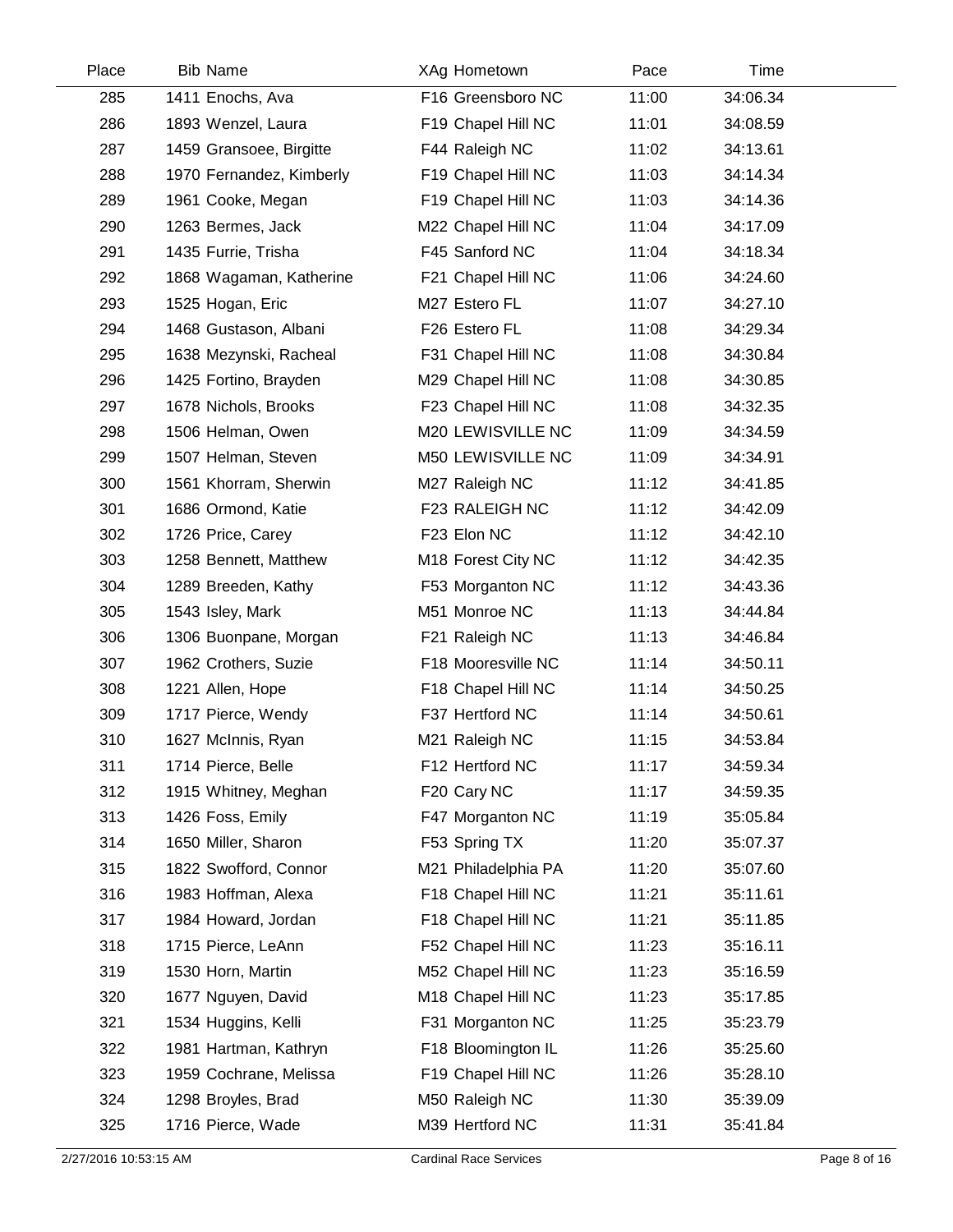| Place | <b>Bib Name</b>          | XAg Hometown        | Pace  | Time     |
|-------|--------------------------|---------------------|-------|----------|
| 285   | 1411 Enochs, Ava         | F16 Greensboro NC   | 11:00 | 34:06.34 |
| 286   | 1893 Wenzel, Laura       | F19 Chapel Hill NC  | 11:01 | 34:08.59 |
| 287   | 1459 Gransoee, Birgitte  | F44 Raleigh NC      | 11:02 | 34:13.61 |
| 288   | 1970 Fernandez, Kimberly | F19 Chapel Hill NC  | 11:03 | 34:14.34 |
| 289   | 1961 Cooke, Megan        | F19 Chapel Hill NC  | 11:03 | 34:14.36 |
| 290   | 1263 Bermes, Jack        | M22 Chapel Hill NC  | 11:04 | 34:17.09 |
| 291   | 1435 Furrie, Trisha      | F45 Sanford NC      | 11:04 | 34:18.34 |
| 292   | 1868 Wagaman, Katherine  | F21 Chapel Hill NC  | 11:06 | 34:24.60 |
| 293   | 1525 Hogan, Eric         | M27 Estero FL       | 11:07 | 34:27.10 |
| 294   | 1468 Gustason, Albani    | F26 Estero FL       | 11:08 | 34:29.34 |
| 295   | 1638 Mezynski, Racheal   | F31 Chapel Hill NC  | 11:08 | 34:30.84 |
| 296   | 1425 Fortino, Brayden    | M29 Chapel Hill NC  | 11:08 | 34:30.85 |
| 297   | 1678 Nichols, Brooks     | F23 Chapel Hill NC  | 11:08 | 34:32.35 |
| 298   | 1506 Helman, Owen        | M20 LEWISVILLE NC   | 11:09 | 34:34.59 |
| 299   | 1507 Helman, Steven      | M50 LEWISVILLE NC   | 11:09 | 34:34.91 |
| 300   | 1561 Khorram, Sherwin    | M27 Raleigh NC      | 11:12 | 34:41.85 |
| 301   | 1686 Ormond, Katie       | F23 RALEIGH NC      | 11:12 | 34:42.09 |
| 302   | 1726 Price, Carey        | F23 Elon NC         | 11:12 | 34:42.10 |
| 303   | 1258 Bennett, Matthew    | M18 Forest City NC  | 11:12 | 34:42.35 |
| 304   | 1289 Breeden, Kathy      | F53 Morganton NC    | 11:12 | 34:43.36 |
| 305   | 1543 Isley, Mark         | M51 Monroe NC       | 11:13 | 34:44.84 |
| 306   | 1306 Buonpane, Morgan    | F21 Raleigh NC      | 11:13 | 34:46.84 |
| 307   | 1962 Crothers, Suzie     | F18 Mooresville NC  | 11:14 | 34:50.11 |
| 308   | 1221 Allen, Hope         | F18 Chapel Hill NC  | 11:14 | 34:50.25 |
| 309   | 1717 Pierce, Wendy       | F37 Hertford NC     | 11:14 | 34:50.61 |
| 310   | 1627 McInnis, Ryan       | M21 Raleigh NC      | 11:15 | 34:53.84 |
| 311   | 1714 Pierce, Belle       | F12 Hertford NC     | 11:17 | 34:59.34 |
| 312   | 1915 Whitney, Meghan     | F20 Cary NC         | 11:17 | 34:59.35 |
| 313   | 1426 Foss, Emily         | F47 Morganton NC    | 11:19 | 35:05.84 |
| 314   | 1650 Miller, Sharon      | F53 Spring TX       | 11:20 | 35:07.37 |
| 315   | 1822 Swofford, Connor    | M21 Philadelphia PA | 11:20 | 35:07.60 |
| 316   | 1983 Hoffman, Alexa      | F18 Chapel Hill NC  | 11:21 | 35:11.61 |
| 317   | 1984 Howard, Jordan      | F18 Chapel Hill NC  | 11:21 | 35:11.85 |
| 318   | 1715 Pierce, LeAnn       | F52 Chapel Hill NC  | 11:23 | 35:16.11 |
| 319   | 1530 Horn, Martin        | M52 Chapel Hill NC  | 11:23 | 35:16.59 |
| 320   | 1677 Nguyen, David       | M18 Chapel Hill NC  | 11:23 | 35:17.85 |
| 321   | 1534 Huggins, Kelli      | F31 Morganton NC    | 11:25 | 35:23.79 |
| 322   | 1981 Hartman, Kathryn    | F18 Bloomington IL  | 11:26 | 35:25.60 |
| 323   | 1959 Cochrane, Melissa   | F19 Chapel Hill NC  | 11:26 | 35:28.10 |
| 324   | 1298 Broyles, Brad       | M50 Raleigh NC      | 11:30 | 35:39.09 |
| 325   | 1716 Pierce, Wade        | M39 Hertford NC     | 11:31 | 35:41.84 |
|       |                          |                     |       |          |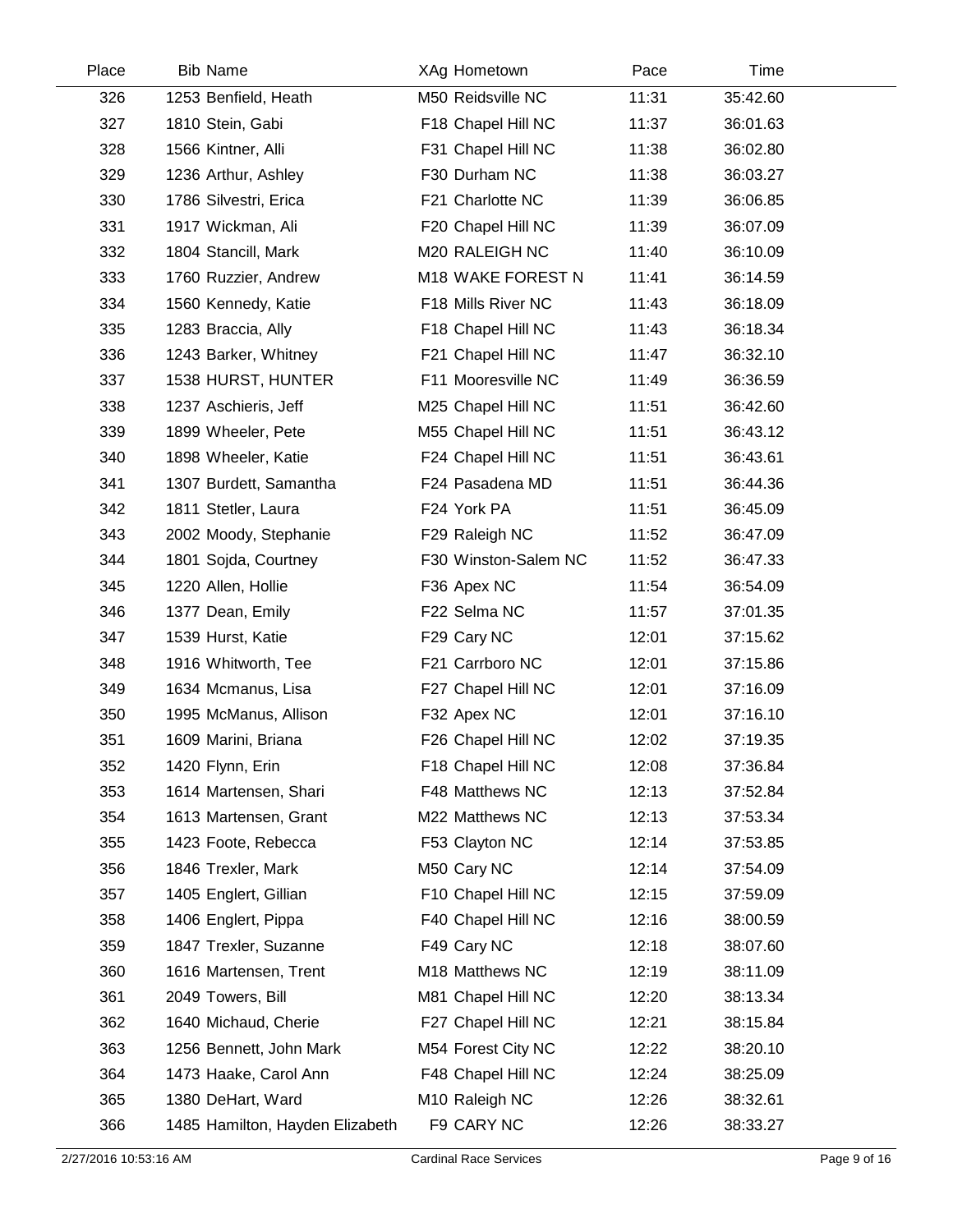| Place | <b>Bib Name</b>                 | XAg Hometown         | Pace  | Time     |  |
|-------|---------------------------------|----------------------|-------|----------|--|
| 326   | 1253 Benfield, Heath            | M50 Reidsville NC    | 11:31 | 35:42.60 |  |
| 327   | 1810 Stein, Gabi                | F18 Chapel Hill NC   | 11:37 | 36:01.63 |  |
| 328   | 1566 Kintner, Alli              | F31 Chapel Hill NC   | 11:38 | 36:02.80 |  |
| 329   | 1236 Arthur, Ashley             | F30 Durham NC        | 11:38 | 36:03.27 |  |
| 330   | 1786 Silvestri, Erica           | F21 Charlotte NC     | 11:39 | 36:06.85 |  |
| 331   | 1917 Wickman, Ali               | F20 Chapel Hill NC   | 11:39 | 36:07.09 |  |
| 332   | 1804 Stancill, Mark             | M20 RALEIGH NC       | 11:40 | 36:10.09 |  |
| 333   | 1760 Ruzzier, Andrew            | M18 WAKE FOREST N    | 11:41 | 36:14.59 |  |
| 334   | 1560 Kennedy, Katie             | F18 Mills River NC   | 11:43 | 36:18.09 |  |
| 335   | 1283 Braccia, Ally              | F18 Chapel Hill NC   | 11:43 | 36:18.34 |  |
| 336   | 1243 Barker, Whitney            | F21 Chapel Hill NC   | 11:47 | 36:32.10 |  |
| 337   | 1538 HURST, HUNTER              | F11 Mooresville NC   | 11:49 | 36:36.59 |  |
| 338   | 1237 Aschieris, Jeff            | M25 Chapel Hill NC   | 11:51 | 36:42.60 |  |
| 339   | 1899 Wheeler, Pete              | M55 Chapel Hill NC   | 11:51 | 36:43.12 |  |
| 340   | 1898 Wheeler, Katie             | F24 Chapel Hill NC   | 11:51 | 36:43.61 |  |
| 341   | 1307 Burdett, Samantha          | F24 Pasadena MD      | 11:51 | 36:44.36 |  |
| 342   | 1811 Stetler, Laura             | F24 York PA          | 11:51 | 36:45.09 |  |
| 343   | 2002 Moody, Stephanie           | F29 Raleigh NC       | 11:52 | 36:47.09 |  |
| 344   | 1801 Sojda, Courtney            | F30 Winston-Salem NC | 11:52 | 36:47.33 |  |
| 345   | 1220 Allen, Hollie              | F36 Apex NC          | 11:54 | 36:54.09 |  |
| 346   | 1377 Dean, Emily                | F22 Selma NC         | 11:57 | 37:01.35 |  |
| 347   | 1539 Hurst, Katie               | F29 Cary NC          | 12:01 | 37:15.62 |  |
| 348   | 1916 Whitworth, Tee             | F21 Carrboro NC      | 12:01 | 37:15.86 |  |
| 349   | 1634 Mcmanus, Lisa              | F27 Chapel Hill NC   | 12:01 | 37:16.09 |  |
| 350   | 1995 McManus, Allison           | F32 Apex NC          | 12:01 | 37:16.10 |  |
| 351   | 1609 Marini, Briana             | F26 Chapel Hill NC   | 12:02 | 37:19.35 |  |
| 352   | 1420 Flynn, Erin                | F18 Chapel Hill NC   | 12:08 | 37:36.84 |  |
| 353   | 1614 Martensen, Shari           | F48 Matthews NC      | 12:13 | 37:52.84 |  |
| 354   | 1613 Martensen, Grant           | M22 Matthews NC      | 12:13 | 37:53.34 |  |
| 355   | 1423 Foote, Rebecca             | F53 Clayton NC       | 12:14 | 37:53.85 |  |
| 356   | 1846 Trexler, Mark              | M50 Cary NC          | 12:14 | 37:54.09 |  |
| 357   | 1405 Englert, Gillian           | F10 Chapel Hill NC   | 12:15 | 37:59.09 |  |
| 358   | 1406 Englert, Pippa             | F40 Chapel Hill NC   | 12:16 | 38:00.59 |  |
| 359   | 1847 Trexler, Suzanne           | F49 Cary NC          | 12:18 | 38:07.60 |  |
| 360   | 1616 Martensen, Trent           | M18 Matthews NC      | 12:19 | 38:11.09 |  |
| 361   | 2049 Towers, Bill               | M81 Chapel Hill NC   | 12:20 | 38:13.34 |  |
| 362   | 1640 Michaud, Cherie            | F27 Chapel Hill NC   | 12:21 | 38:15.84 |  |
| 363   | 1256 Bennett, John Mark         | M54 Forest City NC   | 12:22 | 38:20.10 |  |
| 364   | 1473 Haake, Carol Ann           | F48 Chapel Hill NC   | 12:24 | 38:25.09 |  |
| 365   | 1380 DeHart, Ward               | M10 Raleigh NC       | 12:26 | 38:32.61 |  |
| 366   | 1485 Hamilton, Hayden Elizabeth | F9 CARY NC           | 12:26 | 38:33.27 |  |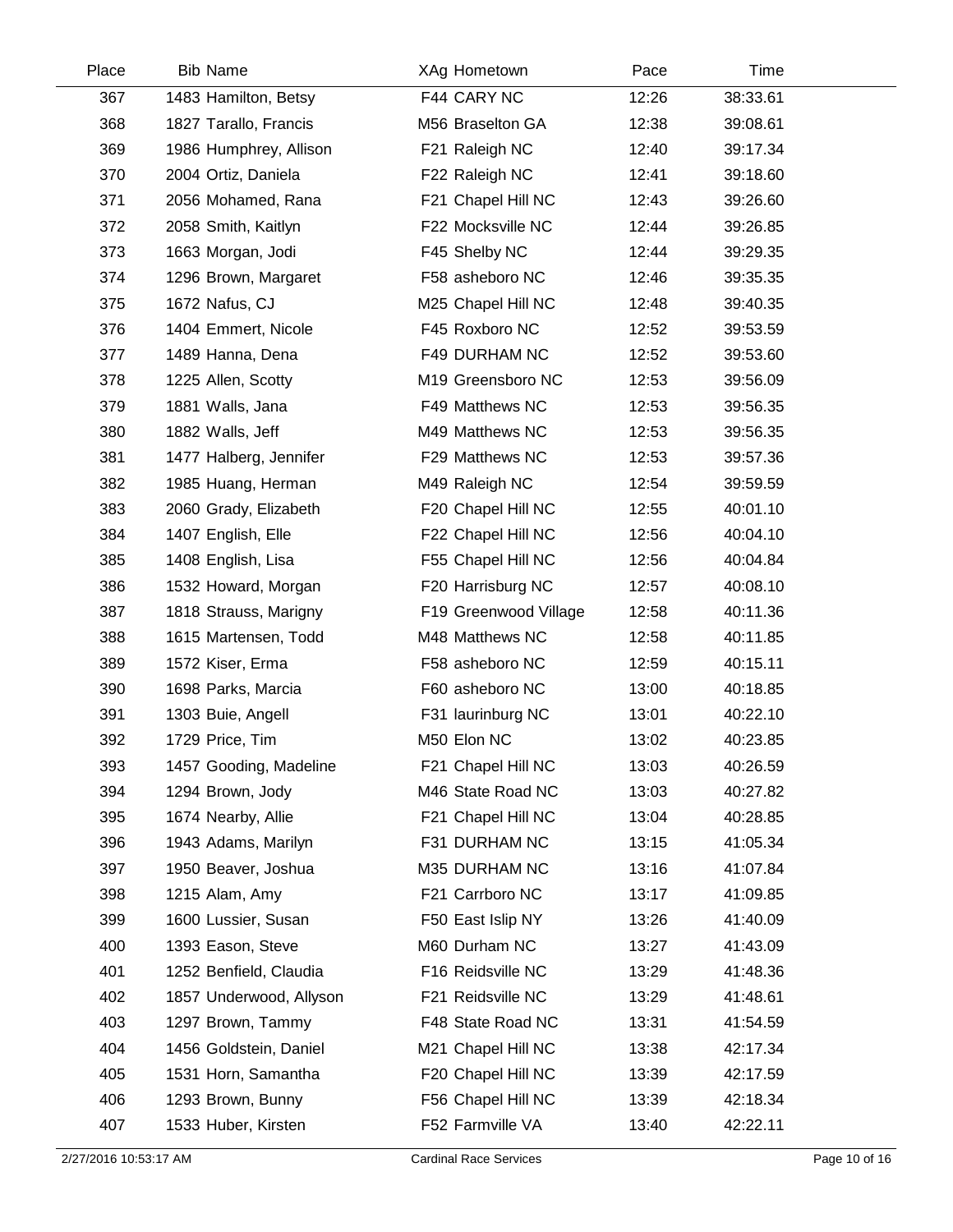| Place | <b>Bib Name</b>         | XAg Hometown          | Pace  | Time     |  |
|-------|-------------------------|-----------------------|-------|----------|--|
| 367   | 1483 Hamilton, Betsy    | F44 CARY NC           | 12:26 | 38:33.61 |  |
| 368   | 1827 Tarallo, Francis   | M56 Braselton GA      | 12:38 | 39:08.61 |  |
| 369   | 1986 Humphrey, Allison  | F21 Raleigh NC        | 12:40 | 39:17.34 |  |
| 370   | 2004 Ortiz, Daniela     | F22 Raleigh NC        | 12:41 | 39:18.60 |  |
| 371   | 2056 Mohamed, Rana      | F21 Chapel Hill NC    | 12:43 | 39:26.60 |  |
| 372   | 2058 Smith, Kaitlyn     | F22 Mocksville NC     | 12:44 | 39:26.85 |  |
| 373   | 1663 Morgan, Jodi       | F45 Shelby NC         | 12:44 | 39:29.35 |  |
| 374   | 1296 Brown, Margaret    | F58 asheboro NC       | 12:46 | 39:35.35 |  |
| 375   | 1672 Nafus, CJ          | M25 Chapel Hill NC    | 12:48 | 39:40.35 |  |
| 376   | 1404 Emmert, Nicole     | F45 Roxboro NC        | 12:52 | 39:53.59 |  |
| 377   | 1489 Hanna, Dena        | F49 DURHAM NC         | 12:52 | 39:53.60 |  |
| 378   | 1225 Allen, Scotty      | M19 Greensboro NC     | 12:53 | 39:56.09 |  |
| 379   | 1881 Walls, Jana        | F49 Matthews NC       | 12:53 | 39:56.35 |  |
| 380   | 1882 Walls, Jeff        | M49 Matthews NC       | 12:53 | 39:56.35 |  |
| 381   | 1477 Halberg, Jennifer  | F29 Matthews NC       | 12:53 | 39:57.36 |  |
| 382   | 1985 Huang, Herman      | M49 Raleigh NC        | 12:54 | 39:59.59 |  |
| 383   | 2060 Grady, Elizabeth   | F20 Chapel Hill NC    | 12:55 | 40:01.10 |  |
| 384   | 1407 English, Elle      | F22 Chapel Hill NC    | 12:56 | 40:04.10 |  |
| 385   | 1408 English, Lisa      | F55 Chapel Hill NC    | 12:56 | 40:04.84 |  |
| 386   | 1532 Howard, Morgan     | F20 Harrisburg NC     | 12:57 | 40:08.10 |  |
| 387   | 1818 Strauss, Marigny   | F19 Greenwood Village | 12:58 | 40:11.36 |  |
| 388   | 1615 Martensen, Todd    | M48 Matthews NC       | 12:58 | 40:11.85 |  |
| 389   | 1572 Kiser, Erma        | F58 asheboro NC       | 12:59 | 40:15.11 |  |
| 390   | 1698 Parks, Marcia      | F60 asheboro NC       | 13:00 | 40:18.85 |  |
| 391   | 1303 Buie, Angell       | F31 laurinburg NC     | 13:01 | 40:22.10 |  |
| 392   | 1729 Price, Tim         | M50 Elon NC           | 13:02 | 40:23.85 |  |
| 393   | 1457 Gooding, Madeline  | F21 Chapel Hill NC    | 13:03 | 40:26.59 |  |
| 394   | 1294 Brown, Jody        | M46 State Road NC     | 13:03 | 40:27.82 |  |
| 395   | 1674 Nearby, Allie      | F21 Chapel Hill NC    | 13:04 | 40:28.85 |  |
| 396   | 1943 Adams, Marilyn     | F31 DURHAM NC         | 13:15 | 41:05.34 |  |
| 397   | 1950 Beaver, Joshua     | M35 DURHAM NC         | 13:16 | 41:07.84 |  |
| 398   | 1215 Alam, Amy          | F21 Carrboro NC       | 13:17 | 41:09.85 |  |
| 399   | 1600 Lussier, Susan     | F50 East Islip NY     | 13:26 | 41:40.09 |  |
| 400   | 1393 Eason, Steve       | M60 Durham NC         | 13:27 | 41:43.09 |  |
| 401   | 1252 Benfield, Claudia  | F16 Reidsville NC     | 13:29 | 41:48.36 |  |
| 402   | 1857 Underwood, Allyson | F21 Reidsville NC     | 13:29 | 41:48.61 |  |
| 403   | 1297 Brown, Tammy       | F48 State Road NC     | 13:31 | 41:54.59 |  |
| 404   | 1456 Goldstein, Daniel  | M21 Chapel Hill NC    | 13:38 | 42:17.34 |  |
| 405   | 1531 Horn, Samantha     | F20 Chapel Hill NC    | 13:39 | 42:17.59 |  |
| 406   | 1293 Brown, Bunny       | F56 Chapel Hill NC    | 13:39 | 42:18.34 |  |
| 407   | 1533 Huber, Kirsten     | F52 Farmville VA      | 13:40 | 42:22.11 |  |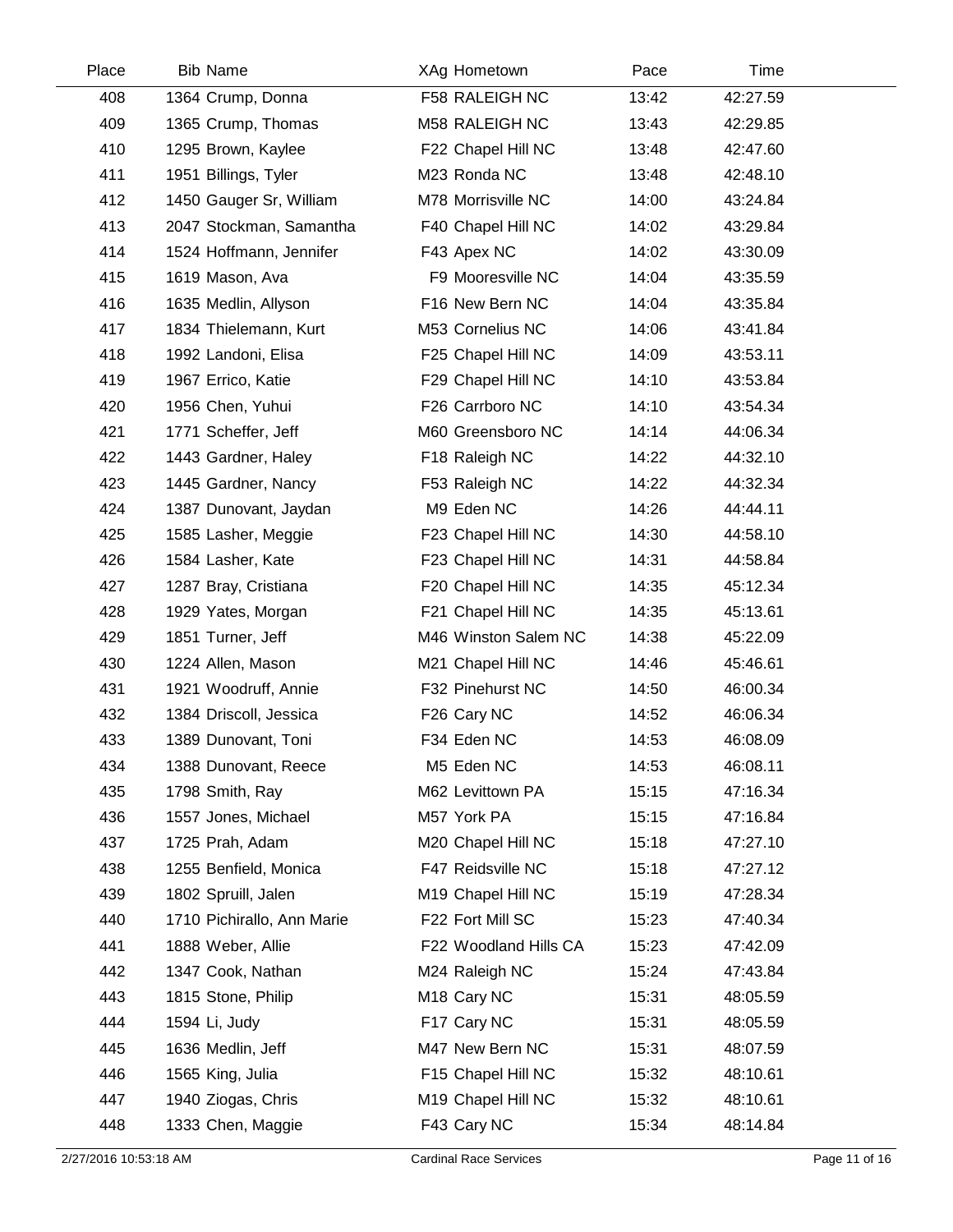| Place | <b>Bib Name</b>            | XAg Hometown            | Pace  | Time     |
|-------|----------------------------|-------------------------|-------|----------|
| 408   | 1364 Crump, Donna          | F58 RALEIGH NC          | 13:42 | 42:27.59 |
| 409   | 1365 Crump, Thomas         | M58 RALEIGH NC          | 13:43 | 42:29.85 |
| 410   | 1295 Brown, Kaylee         | F22 Chapel Hill NC      | 13:48 | 42:47.60 |
| 411   | 1951 Billings, Tyler       | M23 Ronda NC            | 13:48 | 42:48.10 |
| 412   | 1450 Gauger Sr, William    | M78 Morrisville NC      | 14:00 | 43:24.84 |
| 413   | 2047 Stockman, Samantha    | F40 Chapel Hill NC      | 14:02 | 43:29.84 |
| 414   | 1524 Hoffmann, Jennifer    | F43 Apex NC             | 14:02 | 43:30.09 |
| 415   | 1619 Mason, Ava            | F9 Mooresville NC       | 14:04 | 43:35.59 |
| 416   | 1635 Medlin, Allyson       | F16 New Bern NC         | 14:04 | 43:35.84 |
| 417   | 1834 Thielemann, Kurt      | M53 Cornelius NC        | 14:06 | 43:41.84 |
| 418   | 1992 Landoni, Elisa        | F25 Chapel Hill NC      | 14:09 | 43:53.11 |
| 419   | 1967 Errico, Katie         | F29 Chapel Hill NC      | 14:10 | 43:53.84 |
| 420   | 1956 Chen, Yuhui           | F26 Carrboro NC         | 14:10 | 43:54.34 |
| 421   | 1771 Scheffer, Jeff        | M60 Greensboro NC       | 14:14 | 44:06.34 |
| 422   | 1443 Gardner, Haley        | F18 Raleigh NC          | 14:22 | 44:32.10 |
| 423   | 1445 Gardner, Nancy        | F53 Raleigh NC          | 14:22 | 44:32.34 |
| 424   | 1387 Dunovant, Jaydan      | M9 Eden NC              | 14:26 | 44:44.11 |
| 425   | 1585 Lasher, Meggie        | F23 Chapel Hill NC      | 14:30 | 44:58.10 |
| 426   | 1584 Lasher, Kate          | F23 Chapel Hill NC      | 14:31 | 44:58.84 |
| 427   | 1287 Bray, Cristiana       | F20 Chapel Hill NC      | 14:35 | 45:12.34 |
| 428   | 1929 Yates, Morgan         | F21 Chapel Hill NC      | 14:35 | 45:13.61 |
| 429   | 1851 Turner, Jeff          | M46 Winston Salem NC    | 14:38 | 45:22.09 |
| 430   | 1224 Allen, Mason          | M21 Chapel Hill NC      | 14:46 | 45:46.61 |
| 431   | 1921 Woodruff, Annie       | F32 Pinehurst NC        | 14:50 | 46:00.34 |
| 432   | 1384 Driscoll, Jessica     | F26 Cary NC             | 14:52 | 46:06.34 |
| 433   | 1389 Dunovant, Toni        | F34 Eden NC             | 14:53 | 46:08.09 |
| 434   | 1388 Dunovant, Reece       | M5 Eden NC              | 14:53 | 46:08.11 |
| 435   | 1798 Smith, Ray            | M62 Levittown PA        | 15:15 | 47:16.34 |
| 436   | 1557 Jones, Michael        | M57 York PA             | 15:15 | 47:16.84 |
| 437   | 1725 Prah, Adam            | M20 Chapel Hill NC      | 15:18 | 47:27.10 |
| 438   | 1255 Benfield, Monica      | F47 Reidsville NC       | 15:18 | 47:27.12 |
| 439   | 1802 Spruill, Jalen        | M19 Chapel Hill NC      | 15:19 | 47:28.34 |
| 440   | 1710 Pichirallo, Ann Marie | F22 Fort Mill SC        | 15:23 | 47:40.34 |
| 441   | 1888 Weber, Allie          | F22 Woodland Hills CA   | 15:23 | 47:42.09 |
| 442   | 1347 Cook, Nathan          | M24 Raleigh NC          | 15:24 | 47:43.84 |
| 443   | 1815 Stone, Philip         | M <sub>18</sub> Cary NC | 15:31 | 48:05.59 |
| 444   | 1594 Li, Judy              | F17 Cary NC             | 15:31 | 48:05.59 |
| 445   | 1636 Medlin, Jeff          | M47 New Bern NC         | 15:31 | 48:07.59 |
| 446   | 1565 King, Julia           | F15 Chapel Hill NC      | 15:32 | 48:10.61 |
| 447   | 1940 Ziogas, Chris         | M19 Chapel Hill NC      | 15:32 | 48:10.61 |
| 448   | 1333 Chen, Maggie          | F43 Cary NC             | 15:34 | 48:14.84 |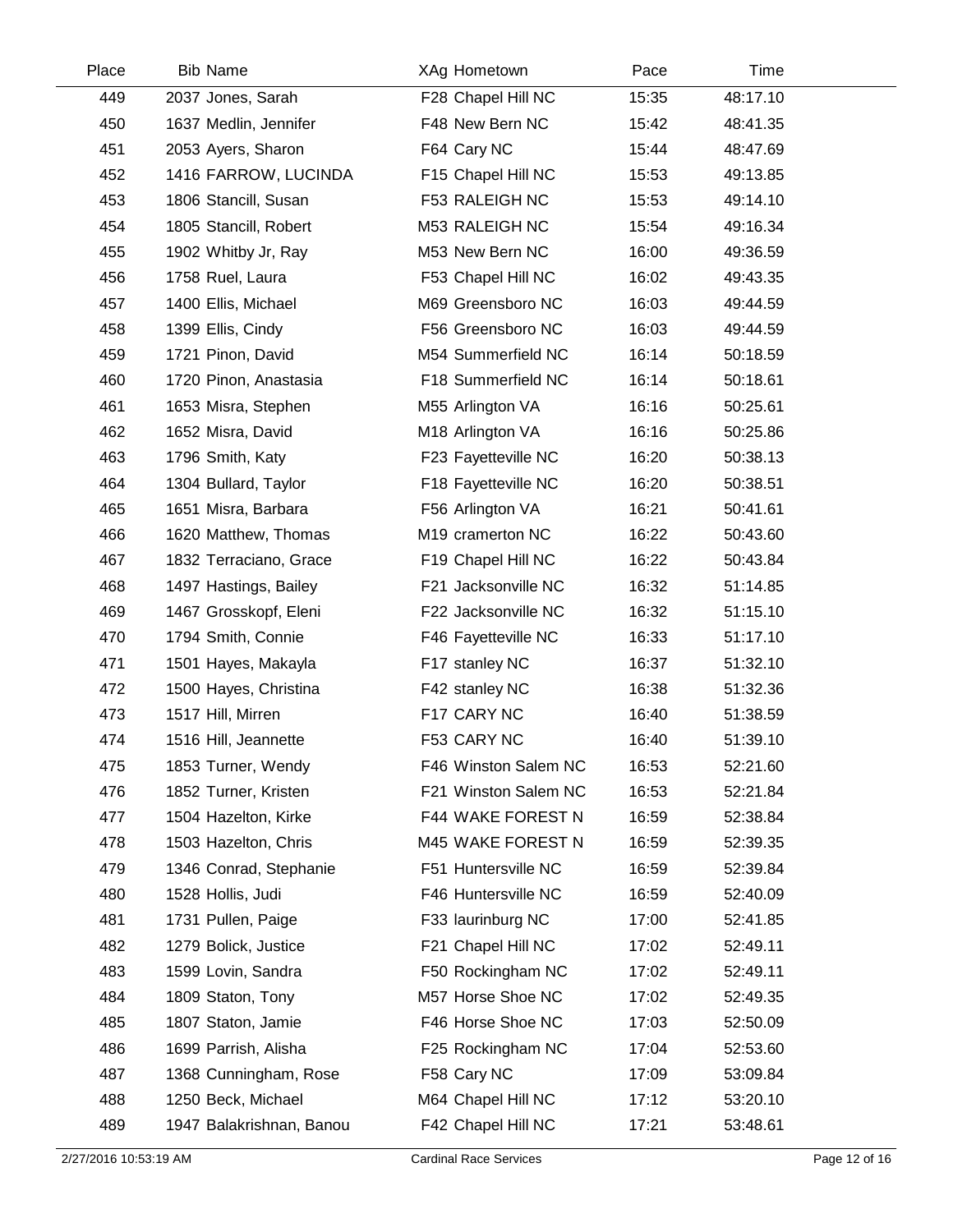| Place | <b>Bib Name</b>          | XAg Hometown         | Pace  | Time     |  |
|-------|--------------------------|----------------------|-------|----------|--|
| 449   | 2037 Jones, Sarah        | F28 Chapel Hill NC   | 15:35 | 48:17.10 |  |
| 450   | 1637 Medlin, Jennifer    | F48 New Bern NC      | 15:42 | 48:41.35 |  |
| 451   | 2053 Ayers, Sharon       | F64 Cary NC          | 15:44 | 48:47.69 |  |
| 452   | 1416 FARROW, LUCINDA     | F15 Chapel Hill NC   | 15:53 | 49:13.85 |  |
| 453   | 1806 Stancill, Susan     | F53 RALEIGH NC       | 15:53 | 49:14.10 |  |
| 454   | 1805 Stancill, Robert    | M53 RALEIGH NC       | 15:54 | 49:16.34 |  |
| 455   | 1902 Whitby Jr, Ray      | M53 New Bern NC      | 16:00 | 49:36.59 |  |
| 456   | 1758 Ruel, Laura         | F53 Chapel Hill NC   | 16:02 | 49:43.35 |  |
| 457   | 1400 Ellis, Michael      | M69 Greensboro NC    | 16:03 | 49:44.59 |  |
| 458   | 1399 Ellis, Cindy        | F56 Greensboro NC    | 16:03 | 49:44.59 |  |
| 459   | 1721 Pinon, David        | M54 Summerfield NC   | 16:14 | 50:18.59 |  |
| 460   | 1720 Pinon, Anastasia    | F18 Summerfield NC   | 16:14 | 50:18.61 |  |
| 461   | 1653 Misra, Stephen      | M55 Arlington VA     | 16:16 | 50:25.61 |  |
| 462   | 1652 Misra, David        | M18 Arlington VA     | 16:16 | 50:25.86 |  |
| 463   | 1796 Smith, Katy         | F23 Fayetteville NC  | 16:20 | 50:38.13 |  |
| 464   | 1304 Bullard, Taylor     | F18 Fayetteville NC  | 16:20 | 50:38.51 |  |
| 465   | 1651 Misra, Barbara      | F56 Arlington VA     | 16:21 | 50:41.61 |  |
| 466   | 1620 Matthew, Thomas     | M19 cramerton NC     | 16:22 | 50:43.60 |  |
| 467   | 1832 Terraciano, Grace   | F19 Chapel Hill NC   | 16:22 | 50:43.84 |  |
| 468   | 1497 Hastings, Bailey    | F21 Jacksonville NC  | 16:32 | 51:14.85 |  |
| 469   | 1467 Grosskopf, Eleni    | F22 Jacksonville NC  | 16:32 | 51:15.10 |  |
| 470   | 1794 Smith, Connie       | F46 Fayetteville NC  | 16:33 | 51:17.10 |  |
| 471   | 1501 Hayes, Makayla      | F17 stanley NC       | 16:37 | 51:32.10 |  |
| 472   | 1500 Hayes, Christina    | F42 stanley NC       | 16:38 | 51:32.36 |  |
| 473   | 1517 Hill, Mirren        | F17 CARY NC          | 16:40 | 51:38.59 |  |
| 474   | 1516 Hill, Jeannette     | F53 CARY NC          | 16:40 | 51:39.10 |  |
| 475   | 1853 Turner, Wendy       | F46 Winston Salem NC | 16:53 | 52:21.60 |  |
| 476   | 1852 Turner, Kristen     | F21 Winston Salem NC | 16:53 | 52:21.84 |  |
| 477   | 1504 Hazelton, Kirke     | F44 WAKE FOREST N    | 16:59 | 52:38.84 |  |
| 478   | 1503 Hazelton, Chris     | M45 WAKE FOREST N    | 16:59 | 52:39.35 |  |
| 479   | 1346 Conrad, Stephanie   | F51 Huntersville NC  | 16:59 | 52:39.84 |  |
| 480   | 1528 Hollis, Judi        | F46 Huntersville NC  | 16:59 | 52:40.09 |  |
| 481   | 1731 Pullen, Paige       | F33 laurinburg NC    | 17:00 | 52:41.85 |  |
| 482   | 1279 Bolick, Justice     | F21 Chapel Hill NC   | 17:02 | 52:49.11 |  |
| 483   | 1599 Lovin, Sandra       | F50 Rockingham NC    | 17:02 | 52:49.11 |  |
| 484   | 1809 Staton, Tony        | M57 Horse Shoe NC    | 17:02 | 52:49.35 |  |
| 485   | 1807 Staton, Jamie       | F46 Horse Shoe NC    | 17:03 | 52:50.09 |  |
| 486   | 1699 Parrish, Alisha     | F25 Rockingham NC    | 17:04 | 52:53.60 |  |
| 487   | 1368 Cunningham, Rose    | F58 Cary NC          | 17:09 | 53:09.84 |  |
| 488   | 1250 Beck, Michael       | M64 Chapel Hill NC   | 17:12 | 53:20.10 |  |
| 489   | 1947 Balakrishnan, Banou | F42 Chapel Hill NC   | 17:21 | 53:48.61 |  |
|       |                          |                      |       |          |  |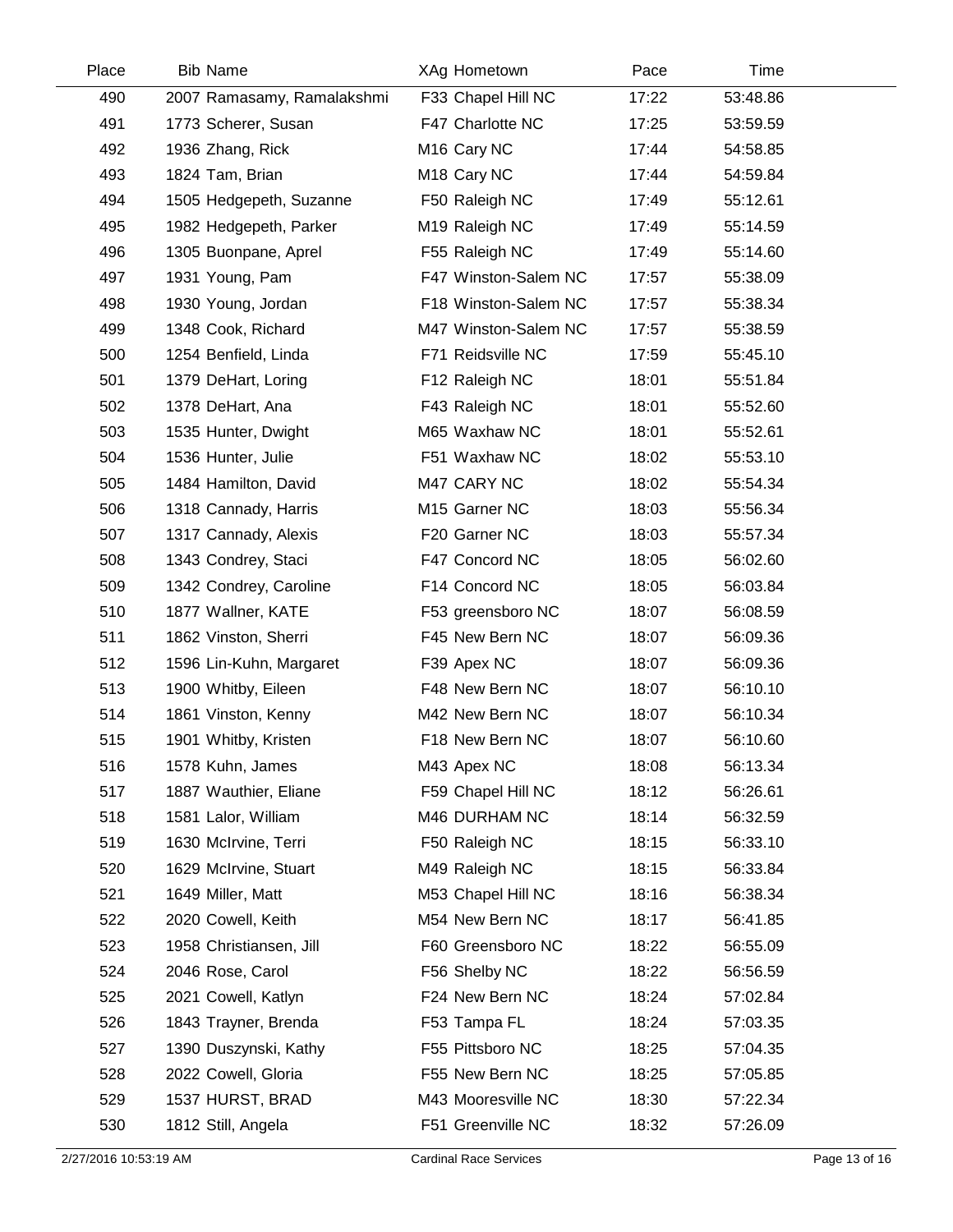| Place | <b>Bib Name</b>            | XAg Hometown               | Pace  | Time     |  |
|-------|----------------------------|----------------------------|-------|----------|--|
| 490   | 2007 Ramasamy, Ramalakshmi | F33 Chapel Hill NC         | 17:22 | 53:48.86 |  |
| 491   | 1773 Scherer, Susan        | F47 Charlotte NC           | 17:25 | 53:59.59 |  |
| 492   | 1936 Zhang, Rick           | M <sub>16</sub> Cary NC    | 17:44 | 54:58.85 |  |
| 493   | 1824 Tam, Brian            | M <sub>18</sub> Cary NC    | 17:44 | 54:59.84 |  |
| 494   | 1505 Hedgepeth, Suzanne    | F50 Raleigh NC             | 17:49 | 55:12.61 |  |
| 495   | 1982 Hedgepeth, Parker     | M <sub>19</sub> Raleigh NC | 17:49 | 55:14.59 |  |
| 496   | 1305 Buonpane, Aprel       | F55 Raleigh NC             | 17:49 | 55:14.60 |  |
| 497   | 1931 Young, Pam            | F47 Winston-Salem NC       | 17:57 | 55:38.09 |  |
| 498   | 1930 Young, Jordan         | F18 Winston-Salem NC       | 17:57 | 55:38.34 |  |
| 499   | 1348 Cook, Richard         | M47 Winston-Salem NC       | 17:57 | 55:38.59 |  |
| 500   | 1254 Benfield, Linda       | F71 Reidsville NC          | 17:59 | 55:45.10 |  |
| 501   | 1379 DeHart, Loring        | F12 Raleigh NC             | 18:01 | 55:51.84 |  |
| 502   | 1378 DeHart, Ana           | F43 Raleigh NC             | 18:01 | 55:52.60 |  |
| 503   | 1535 Hunter, Dwight        | M65 Waxhaw NC              | 18:01 | 55:52.61 |  |
| 504   | 1536 Hunter, Julie         | F51 Waxhaw NC              | 18:02 | 55:53.10 |  |
| 505   | 1484 Hamilton, David       | M47 CARY NC                | 18:02 | 55:54.34 |  |
| 506   | 1318 Cannady, Harris       | M15 Garner NC              | 18:03 | 55:56.34 |  |
| 507   | 1317 Cannady, Alexis       | F20 Garner NC              | 18:03 | 55:57.34 |  |
| 508   | 1343 Condrey, Staci        | F47 Concord NC             | 18:05 | 56:02.60 |  |
| 509   | 1342 Condrey, Caroline     | F14 Concord NC             | 18:05 | 56:03.84 |  |
| 510   | 1877 Wallner, KATE         | F53 greensboro NC          | 18:07 | 56:08.59 |  |
| 511   | 1862 Vinston, Sherri       | F45 New Bern NC            | 18:07 | 56:09.36 |  |
| 512   | 1596 Lin-Kuhn, Margaret    | F39 Apex NC                | 18:07 | 56:09.36 |  |
| 513   | 1900 Whitby, Eileen        | F48 New Bern NC            | 18:07 | 56:10.10 |  |
| 514   | 1861 Vinston, Kenny        | M42 New Bern NC            | 18:07 | 56:10.34 |  |
| 515   | 1901 Whitby, Kristen       | F18 New Bern NC            | 18:07 | 56:10.60 |  |
| 516   | 1578 Kuhn, James           | M43 Apex NC                | 18:08 | 56:13.34 |  |
| 517   | 1887 Wauthier, Eliane      | F59 Chapel Hill NC         | 18:12 | 56:26.61 |  |
| 518   | 1581 Lalor, William        | M46 DURHAM NC              | 18:14 | 56:32.59 |  |
| 519   | 1630 McIrvine, Terri       | F50 Raleigh NC             | 18:15 | 56:33.10 |  |
| 520   | 1629 McIrvine, Stuart      | M49 Raleigh NC             | 18:15 | 56:33.84 |  |
| 521   | 1649 Miller, Matt          | M53 Chapel Hill NC         | 18:16 | 56:38.34 |  |
| 522   | 2020 Cowell, Keith         | M54 New Bern NC            | 18:17 | 56:41.85 |  |
| 523   | 1958 Christiansen, Jill    | F60 Greensboro NC          | 18:22 | 56:55.09 |  |
| 524   | 2046 Rose, Carol           | F56 Shelby NC              | 18:22 | 56:56.59 |  |
| 525   | 2021 Cowell, Katlyn        | F24 New Bern NC            | 18:24 | 57:02.84 |  |
| 526   | 1843 Trayner, Brenda       | F53 Tampa FL               | 18:24 | 57:03.35 |  |
| 527   | 1390 Duszynski, Kathy      | F55 Pittsboro NC           | 18:25 | 57:04.35 |  |
| 528   | 2022 Cowell, Gloria        | F55 New Bern NC            | 18:25 | 57:05.85 |  |
| 529   | 1537 HURST, BRAD           | M43 Mooresville NC         | 18:30 | 57:22.34 |  |
| 530   | 1812 Still, Angela         | F51 Greenville NC          | 18:32 | 57:26.09 |  |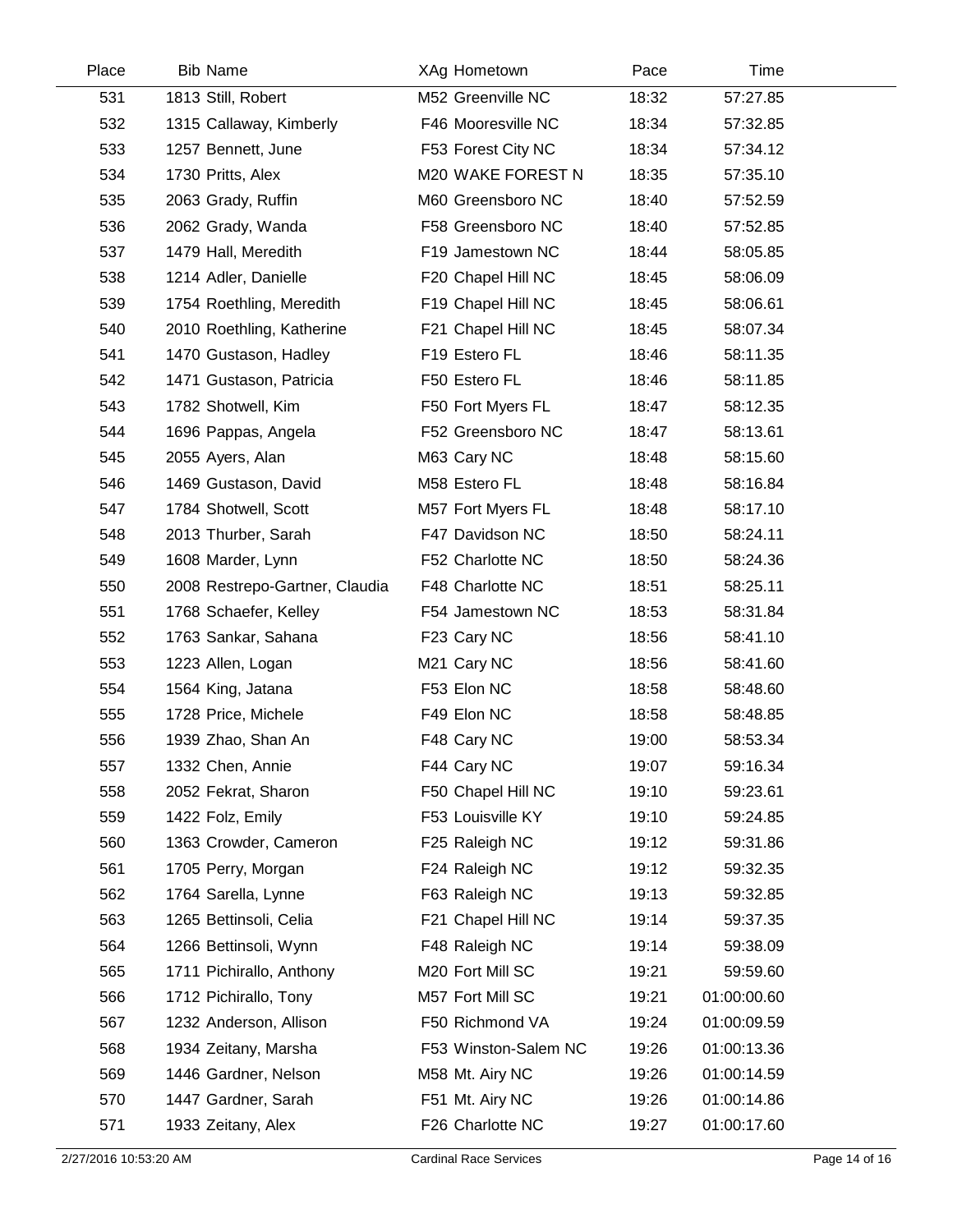| Place | <b>Bib Name</b>                | XAg Hometown         | Pace  | Time        |  |
|-------|--------------------------------|----------------------|-------|-------------|--|
| 531   | 1813 Still, Robert             | M52 Greenville NC    | 18:32 | 57:27.85    |  |
| 532   | 1315 Callaway, Kimberly        | F46 Mooresville NC   | 18:34 | 57:32.85    |  |
| 533   | 1257 Bennett, June             | F53 Forest City NC   | 18:34 | 57:34.12    |  |
| 534   | 1730 Pritts, Alex              | M20 WAKE FOREST N    | 18:35 | 57:35.10    |  |
| 535   | 2063 Grady, Ruffin             | M60 Greensboro NC    | 18:40 | 57:52.59    |  |
| 536   | 2062 Grady, Wanda              | F58 Greensboro NC    | 18:40 | 57:52.85    |  |
| 537   | 1479 Hall, Meredith            | F19 Jamestown NC     | 18:44 | 58:05.85    |  |
| 538   | 1214 Adler, Danielle           | F20 Chapel Hill NC   | 18:45 | 58:06.09    |  |
| 539   | 1754 Roethling, Meredith       | F19 Chapel Hill NC   | 18:45 | 58:06.61    |  |
| 540   | 2010 Roethling, Katherine      | F21 Chapel Hill NC   | 18:45 | 58:07.34    |  |
| 541   | 1470 Gustason, Hadley          | F19 Estero FL        | 18:46 | 58:11.35    |  |
| 542   | 1471 Gustason, Patricia        | F50 Estero FL        | 18:46 | 58:11.85    |  |
| 543   | 1782 Shotwell, Kim             | F50 Fort Myers FL    | 18:47 | 58:12.35    |  |
| 544   | 1696 Pappas, Angela            | F52 Greensboro NC    | 18:47 | 58:13.61    |  |
| 545   | 2055 Ayers, Alan               | M63 Cary NC          | 18:48 | 58:15.60    |  |
| 546   | 1469 Gustason, David           | M58 Estero FL        | 18:48 | 58:16.84    |  |
| 547   | 1784 Shotwell, Scott           | M57 Fort Myers FL    | 18:48 | 58:17.10    |  |
| 548   | 2013 Thurber, Sarah            | F47 Davidson NC      | 18:50 | 58:24.11    |  |
| 549   | 1608 Marder, Lynn              | F52 Charlotte NC     | 18:50 | 58:24.36    |  |
| 550   | 2008 Restrepo-Gartner, Claudia | F48 Charlotte NC     | 18:51 | 58:25.11    |  |
| 551   | 1768 Schaefer, Kelley          | F54 Jamestown NC     | 18:53 | 58:31.84    |  |
| 552   | 1763 Sankar, Sahana            | F23 Cary NC          | 18:56 | 58:41.10    |  |
| 553   | 1223 Allen, Logan              | M21 Cary NC          | 18:56 | 58:41.60    |  |
| 554   | 1564 King, Jatana              | F53 Elon NC          | 18:58 | 58:48.60    |  |
| 555   | 1728 Price, Michele            | F49 Elon NC          | 18:58 | 58:48.85    |  |
| 556   | 1939 Zhao, Shan An             | F48 Cary NC          | 19:00 | 58:53.34    |  |
| 557   | 1332 Chen, Annie               | F44 Cary NC          | 19:07 | 59:16.34    |  |
| 558   | 2052 Fekrat, Sharon            | F50 Chapel Hill NC   | 19:10 | 59:23.61    |  |
| 559   | 1422 Folz, Emily               | F53 Louisville KY    | 19:10 | 59:24.85    |  |
| 560   | 1363 Crowder, Cameron          | F25 Raleigh NC       | 19:12 | 59:31.86    |  |
| 561   | 1705 Perry, Morgan             | F24 Raleigh NC       | 19:12 | 59:32.35    |  |
| 562   | 1764 Sarella, Lynne            | F63 Raleigh NC       | 19:13 | 59:32.85    |  |
| 563   | 1265 Bettinsoli, Celia         | F21 Chapel Hill NC   | 19:14 | 59:37.35    |  |
| 564   | 1266 Bettinsoli, Wynn          | F48 Raleigh NC       | 19:14 | 59:38.09    |  |
| 565   | 1711 Pichirallo, Anthony       | M20 Fort Mill SC     | 19:21 | 59:59.60    |  |
| 566   | 1712 Pichirallo, Tony          | M57 Fort Mill SC     | 19:21 | 01:00:00.60 |  |
| 567   | 1232 Anderson, Allison         | F50 Richmond VA      | 19:24 | 01:00:09.59 |  |
| 568   | 1934 Zeitany, Marsha           | F53 Winston-Salem NC | 19:26 | 01:00:13.36 |  |
| 569   | 1446 Gardner, Nelson           | M58 Mt. Airy NC      | 19:26 | 01:00:14.59 |  |
| 570   | 1447 Gardner, Sarah            | F51 Mt. Airy NC      | 19:26 | 01:00:14.86 |  |
| 571   | 1933 Zeitany, Alex             | F26 Charlotte NC     | 19:27 | 01:00:17.60 |  |
|       |                                |                      |       |             |  |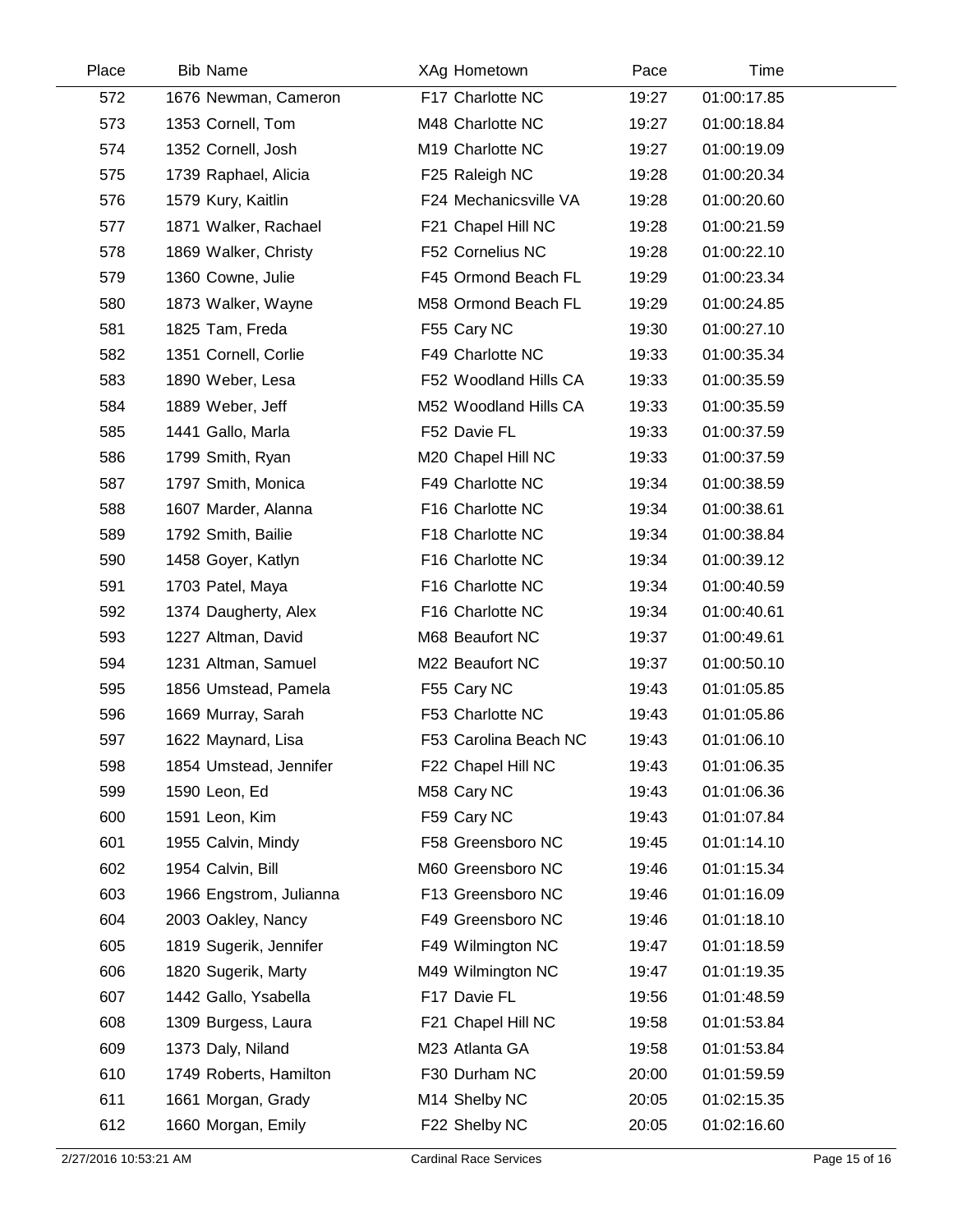| Place | <b>Bib Name</b>         | XAg Hometown          | Pace  | Time        |  |
|-------|-------------------------|-----------------------|-------|-------------|--|
| 572   | 1676 Newman, Cameron    | F17 Charlotte NC      | 19:27 | 01:00:17.85 |  |
| 573   | 1353 Cornell, Tom       | M48 Charlotte NC      | 19:27 | 01:00:18.84 |  |
| 574   | 1352 Cornell, Josh      | M19 Charlotte NC      | 19:27 | 01:00:19.09 |  |
| 575   | 1739 Raphael, Alicia    | F25 Raleigh NC        | 19:28 | 01:00:20.34 |  |
| 576   | 1579 Kury, Kaitlin      | F24 Mechanicsville VA | 19:28 | 01:00:20.60 |  |
| 577   | 1871 Walker, Rachael    | F21 Chapel Hill NC    | 19:28 | 01:00:21.59 |  |
| 578   | 1869 Walker, Christy    | F52 Cornelius NC      | 19:28 | 01:00:22.10 |  |
| 579   | 1360 Cowne, Julie       | F45 Ormond Beach FL   | 19:29 | 01:00:23.34 |  |
| 580   | 1873 Walker, Wayne      | M58 Ormond Beach FL   | 19:29 | 01:00:24.85 |  |
| 581   | 1825 Tam, Freda         | F55 Cary NC           | 19:30 | 01:00:27.10 |  |
| 582   | 1351 Cornell, Corlie    | F49 Charlotte NC      | 19:33 | 01:00:35.34 |  |
| 583   | 1890 Weber, Lesa        | F52 Woodland Hills CA | 19:33 | 01:00:35.59 |  |
| 584   | 1889 Weber, Jeff        | M52 Woodland Hills CA | 19:33 | 01:00:35.59 |  |
| 585   | 1441 Gallo, Marla       | F52 Davie FL          | 19:33 | 01:00:37.59 |  |
| 586   | 1799 Smith, Ryan        | M20 Chapel Hill NC    | 19:33 | 01:00:37.59 |  |
| 587   | 1797 Smith, Monica      | F49 Charlotte NC      | 19:34 | 01:00:38.59 |  |
| 588   | 1607 Marder, Alanna     | F16 Charlotte NC      | 19:34 | 01:00:38.61 |  |
| 589   | 1792 Smith, Bailie      | F18 Charlotte NC      | 19:34 | 01:00:38.84 |  |
| 590   | 1458 Goyer, Katlyn      | F16 Charlotte NC      | 19:34 | 01:00:39.12 |  |
| 591   | 1703 Patel, Maya        | F16 Charlotte NC      | 19:34 | 01:00:40.59 |  |
| 592   | 1374 Daugherty, Alex    | F16 Charlotte NC      | 19:34 | 01:00:40.61 |  |
| 593   | 1227 Altman, David      | M68 Beaufort NC       | 19:37 | 01:00:49.61 |  |
| 594   | 1231 Altman, Samuel     | M22 Beaufort NC       | 19:37 | 01:00:50.10 |  |
| 595   | 1856 Umstead, Pamela    | F55 Cary NC           | 19:43 | 01:01:05.85 |  |
| 596   | 1669 Murray, Sarah      | F53 Charlotte NC      | 19:43 | 01:01:05.86 |  |
| 597   | 1622 Maynard, Lisa      | F53 Carolina Beach NC | 19:43 | 01:01:06.10 |  |
| 598   | 1854 Umstead, Jennifer  | F22 Chapel Hill NC    | 19:43 | 01:01:06.35 |  |
| 599   | 1590 Leon, Ed           | M58 Cary NC           | 19:43 | 01:01:06.36 |  |
| 600   | 1591 Leon, Kim          | F59 Cary NC           | 19:43 | 01:01:07.84 |  |
| 601   | 1955 Calvin, Mindy      | F58 Greensboro NC     | 19:45 | 01:01:14.10 |  |
| 602   | 1954 Calvin, Bill       | M60 Greensboro NC     | 19:46 | 01:01:15.34 |  |
| 603   | 1966 Engstrom, Julianna | F13 Greensboro NC     | 19:46 | 01:01:16.09 |  |
| 604   | 2003 Oakley, Nancy      | F49 Greensboro NC     | 19:46 | 01:01:18.10 |  |
| 605   | 1819 Sugerik, Jennifer  | F49 Wilmington NC     | 19:47 | 01:01:18.59 |  |
| 606   | 1820 Sugerik, Marty     | M49 Wilmington NC     | 19:47 | 01:01:19.35 |  |
| 607   | 1442 Gallo, Ysabella    | F17 Davie FL          | 19:56 | 01:01:48.59 |  |
| 608   | 1309 Burgess, Laura     | F21 Chapel Hill NC    | 19:58 | 01:01:53.84 |  |
| 609   | 1373 Daly, Niland       | M23 Atlanta GA        | 19:58 | 01:01:53.84 |  |
| 610   | 1749 Roberts, Hamilton  | F30 Durham NC         | 20:00 | 01:01:59.59 |  |
| 611   | 1661 Morgan, Grady      | M14 Shelby NC         | 20:05 | 01:02:15.35 |  |
| 612   | 1660 Morgan, Emily      | F22 Shelby NC         | 20:05 | 01:02:16.60 |  |